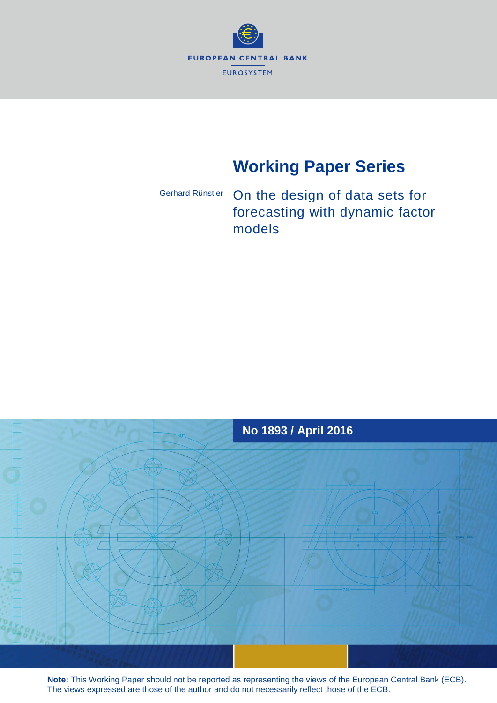

# **Working Paper Series**

# On the design of data sets for forecasting with dynamic factor models Gerhard Rünstler



**Note:** This Working Paper should not be reported as representing the views of the European Central Bank (ECB). The views expressed are those of the author and do not necessarily reflect those of the ECB.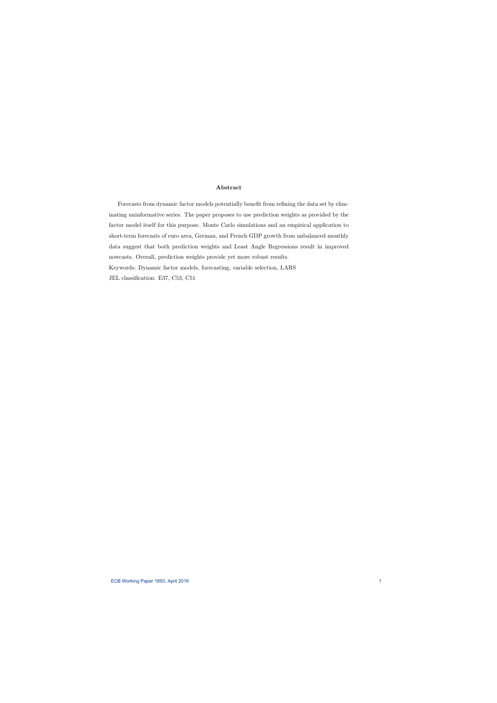#### Abstract

Forecasts from dynamic factor models potentially benefit from refining the data set by eliminating uninformative series. The paper proposes to use prediction weights as provided by the factor model itself for this purpose. Monte Carlo simulations and an empirical application to short-term forecasts of euro area, German, and French GDP growth from unbalanced monthly data suggest that both prediction weights and Least Angle Regressions result in improved nowcasts. Overall, prediction weights provide yet more robust results. Keywords: Dynamic factor models, forecasting, variable selection, LARS

JEL classification: E37, C53, C51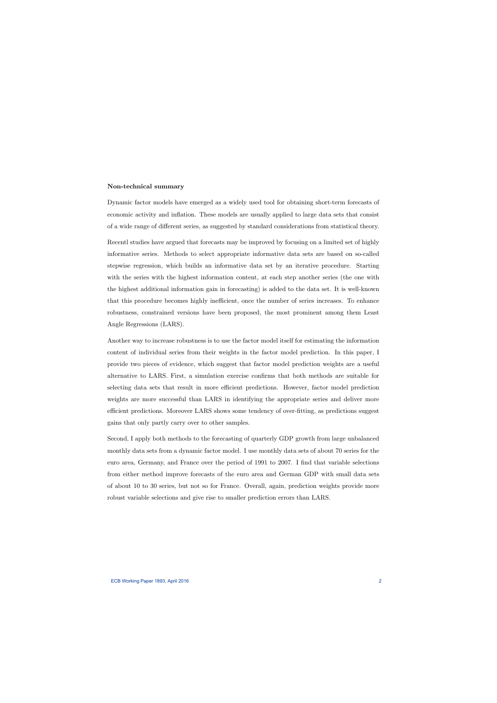#### Non-technical summary

Dynamic factor models have emerged as a widely used tool for obtaining short-term forecasts of economic activity and ináation. These models are usually applied to large data sets that consist of a wide range of different series, as suggested by standard considerations from statistical theory.

Recentl studies have argued that forecasts may be improved by focusing on a limited set of highly informative series. Methods to select appropriate informative data sets are based on so-called stepwise regression, which builds an informative data set by an iterative procedure. Starting with the series with the highest information content, at each step another series (the one with the highest additional information gain in forecasting) is added to the data set. It is well-known that this procedure becomes highly inefficient, once the number of series increases. To enhance robustness, constrained versions have been proposed, the most prominent among them Least Angle Regressions (LARS).

Another way to increase robustness is to use the factor model itself for estimating the information content of individual series from their weights in the factor model prediction. In this paper, I provide two pieces of evidence, which suggest that factor model prediction weights are a useful alternative to LARS. First, a simulation exercise confirms that both methods are suitable for selecting data sets that result in more efficient predictions. However, factor model prediction weights are more successful than LARS in identifying the appropriate series and deliver more efficient predictions. Moreover LARS shows some tendency of over-fitting, as predictions suggest gains that only partly carry over to other samples.

Second, I apply both methods to the forecasting of quarterly GDP growth from large unbalanced monthly data sets from a dynamic factor model. I use monthly data sets of about 70 series for the euro area, Germany, and France over the period of 1991 to 2007. I find that variable selections from either method improve forecasts of the euro area and German GDP with small data sets of about 10 to 30 series, but not so for France. Overall, again, prediction weights provide more robust variable selections and give rise to smaller prediction errors than LARS.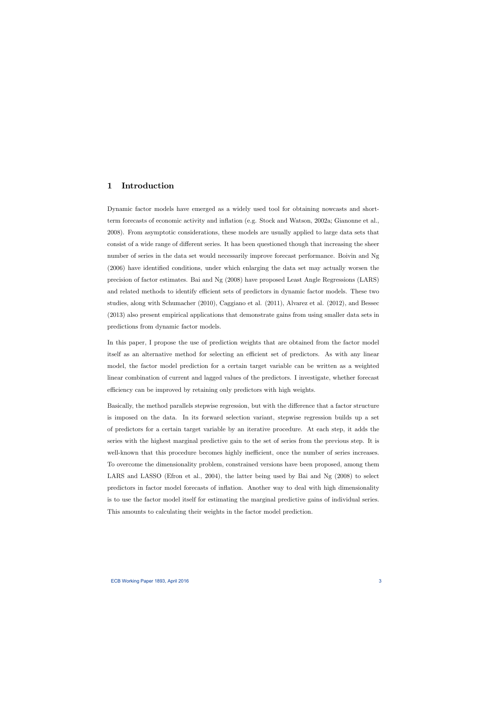# 1 Introduction

Dynamic factor models have emerged as a widely used tool for obtaining nowcasts and shortterm forecasts of economic activity and ináation (e.g. Stock and Watson, 2002a; Gianonne et al., 2008). From asymptotic considerations, these models are usually applied to large data sets that consist of a wide range of different series. It has been questioned though that increasing the sheer number of series in the data set would necessarily improve forecast performance. Boivin and Ng  $(2006)$  have identified conditions, under which enlarging the data set may actually worsen the precision of factor estimates. Bai and Ng (2008) have proposed Least Angle Regressions (LARS) and related methods to identify efficient sets of predictors in dynamic factor models. These two studies, along with Schumacher (2010), Caggiano et al. (2011), Alvarez et al. (2012), and Bessec (2013) also present empirical applications that demonstrate gains from using smaller data sets in predictions from dynamic factor models.

In this paper, I propose the use of prediction weights that are obtained from the factor model itself as an alternative method for selecting an efficient set of predictors. As with any linear model, the factor model prediction for a certain target variable can be written as a weighted linear combination of current and lagged values of the predictors. I investigate, whether forecast efficiency can be improved by retaining only predictors with high weights.

Basically, the method parallels stepwise regression, but with the difference that a factor structure is imposed on the data. In its forward selection variant, stepwise regression builds up a set of predictors for a certain target variable by an iterative procedure. At each step, it adds the series with the highest marginal predictive gain to the set of series from the previous step. It is well-known that this procedure becomes highly inefficient, once the number of series increases. To overcome the dimensionality problem, constrained versions have been proposed, among them LARS and LASSO (Efron et al., 2004), the latter being used by Bai and Ng (2008) to select predictors in factor model forecasts of ináation. Another way to deal with high dimensionality is to use the factor model itself for estimating the marginal predictive gains of individual series. This amounts to calculating their weights in the factor model prediction.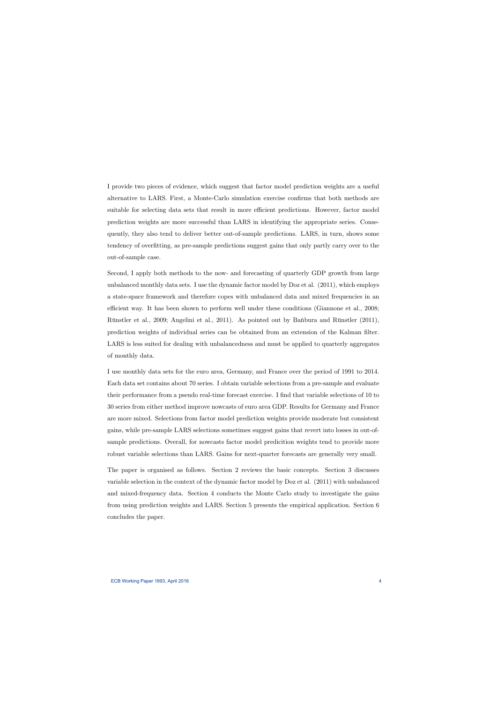I provide two pieces of evidence, which suggest that factor model prediction weights are a useful alternative to LARS. First, a Monte-Carlo simulation exercise confirms that both methods are suitable for selecting data sets that result in more efficient predictions. However, factor model prediction weights are more successful than LARS in identifying the appropriate series. Consequently, they also tend to deliver better out-of-sample predictions. LARS, in turn, shows some tendency of overfitting, as pre-sample predictions suggest gains that only partly carry over to the out-of-sample case.

Second, I apply both methods to the now- and forecasting of quarterly GDP growth from large unbalanced monthly data sets. I use the dynamic factor model by Doz et al. (2011), which employs a state-space framework and therefore copes with unbalanced data and mixed frequencies in an efficient way. It has been shown to perform well under these conditions (Giannone et al., 2008; Rünstler et al., 2009; Angelini et al., 2011). As pointed out by Banbura and Rünstler (2011), prediction weights of individual series can be obtained from an extension of the Kalman filter. LARS is less suited for dealing with unbalancedness and must be applied to quarterly aggregates of monthly data.

I use monthly data sets for the euro area, Germany, and France over the period of 1991 to 2014. Each data set contains about 70 series. I obtain variable selections from a pre-sample and evaluate their performance from a pseudo real-time forecast exercise. I find that variable selections of 10 to 30 series from either method improve nowcasts of euro area GDP. Results for Germany and France are more mixed. Selections from factor model prediction weights provide moderate but consistent gains, while pre-sample LARS selections sometimes suggest gains that revert into losses in out-ofsample predictions. Overall, for nowcasts factor model predicition weights tend to provide more robust variable selections than LARS. Gains for next-quarter forecasts are generally very small.

The paper is organised as follows. Section 2 reviews the basic concepts. Section 3 discusses variable selection in the context of the dynamic factor model by Doz et al. (2011) with unbalanced and mixed-frequency data. Section 4 conducts the Monte Carlo study to investigate the gains from using prediction weights and LARS. Section 5 presents the empirical application. Section 6 concludes the paper.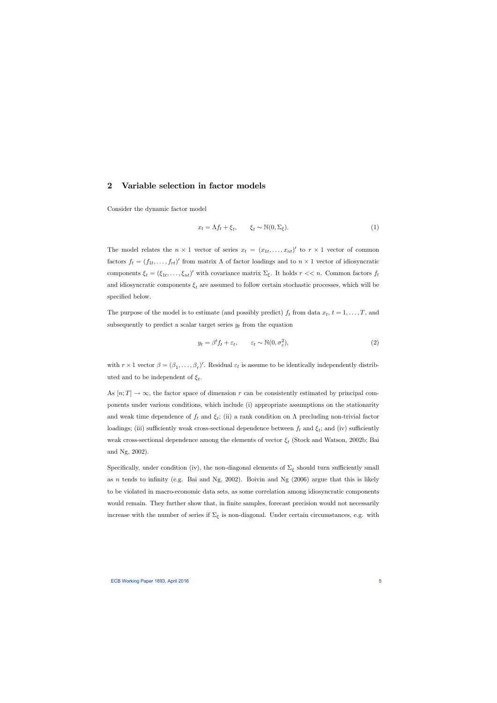## 2 Variable selection in factor models

Consider the dynamic factor model

$$
x_t = \Lambda f_t + \xi_t, \qquad \xi_t \sim \mathbb{N}(0, \Sigma_{\xi}). \tag{1}
$$

The model relates the  $n \times 1$  vector of series  $x_t = (x_{1t},...,x_{nt})'$  to  $r \times 1$  vector of common factors  $f_t = (f_{1t}, \ldots, f_{rt})'$  from matrix  $\Lambda$  of factor loadings and to  $n \times 1$  vector of idiosyncratic components  $\xi_t = (\xi_{1t}, \dots, \xi_{nt})'$  with covariance matrix  $\Sigma_{\xi}$ . It holds  $r \ll n$ . Common factors  $f_t$ and idiosyncratic components  $\xi_t$  are assumed to follow certain stochastic processes, which will be specified below.

The purpose of the model is to estimate (and possibly predict)  $f_t$  from data  $x_t$ ,  $t = 1, \ldots, T$ , and subsequently to predict a scalar target series  $y_t$  from the equation

$$
y_t = \beta' f_t + \varepsilon_t, \qquad \varepsilon_t \sim \mathbb{N}(0, \sigma_\varepsilon^2), \tag{2}
$$

with  $r \times 1$  vector  $\beta = (\beta_1, \ldots, \beta_r)'$ . Residual  $\varepsilon_t$  is assume to be identically independently distributed and to be independent of  $\xi_t$ .

As  $[n; T] \to \infty$ , the factor space of dimension r can be consistently estimated by principal components under various conditions, which include (i) appropriate assumptions on the stationarity and weak time dependence of  $f_t$  and  $\xi_t$ ; (ii) a rank condition on  $\Lambda$  precluding non-trivial factor loadings; (iii) sufficiently weak cross-sectional dependence between  $f_t$  and  $\xi_t$ ; and (iv) sufficiently weak cross-sectional dependence among the elements of vector  $\xi_t$  (Stock and Watson, 2002b; Bai and Ng, 2002).

Specifically, under condition (iv), the non-diagonal elements of  $\Sigma_{\xi}$  should turn sufficiently small as n tends to infinity (e.g. Bai and Ng, 2002). Boivin and Ng  $(2006)$  argue that this is likely to be violated in macro-economic data sets, as some correlation among idiosyncratic components would remain. They further show that, in finite samples, forecast precision would not necessarily increase with the number of series if  $\Sigma_{\xi}$  is non-diagonal. Under certain circumstances, e.g. with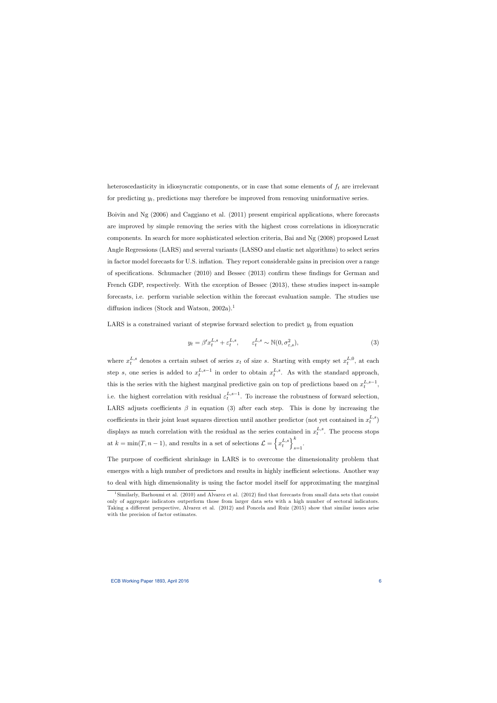heteroscedasticity in idiosyncratic components, or in case that some elements of  $f_t$  are irrelevant for predicting  $y_t$ , predictions may therefore be improved from removing uninformative series.

Boivin and Ng (2006) and Caggiano et al. (2011) present empirical applications, where forecasts are improved by simple removing the series with the highest cross correlations in idiosyncratic components. In search for more sophisticated selection criteria, Bai and Ng (2008) proposed Least Angle Regressions (LARS) and several variants (LASSO and elastic net algorithms) to select series in factor model forecasts for U.S. inflation. They report considerable gains in precision over a range of specifications. Schumacher  $(2010)$  and Bessec  $(2013)$  confirm these findings for German and French GDP, respectively. With the exception of Bessec (2013), these studies inspect in-sample forecasts, i.e. perform variable selection within the forecast evaluation sample. The studies use diffusion indices (Stock and Watson,  $2002a$ ).<sup>1</sup>

LARS is a constrained variant of stepwise forward selection to predict  $y_t$  from equation

$$
y_t = \beta' x_t^{L,s} + \varepsilon_t^{L,s}, \qquad \varepsilon_t^{L,s} \sim \mathbb{N}(0, \sigma_{\varepsilon,s}^2), \tag{3}
$$

where  $x_t^{L,s}$  denotes a certain subset of series  $x_t$  of size s. Starting with empty set  $x_t^{L,0}$  $t^{L,0}$ , at each step s, one series is added to  $x_t^{L,s-1}$  in order to obtain  $x_t^{L,s}$  $t^{L,s}_{t}$ . As with the standard approach, this is the series with the highest marginal predictive gain on top of predictions based on  $x_t^{L,s-1}$ , i.e. the highest correlation with residual  $\varepsilon_t^{L,s-1}$ . To increase the robustness of forward selection, LARS adjusts coefficients  $\beta$  in equation (3) after each step. This is done by increasing the coefficients in their joint least squares direction until another predictor (not yet contained in  $x_t^{L,s}$  $_t^{L,s})$ displays as much correlation with the residual as the series contained in  $x_t^{L,s}$  $t^{L,s}$ . The process stops at  $k = \min(T, n - 1)$ , and results in a set of selections  $\mathcal{L} = \left\{ x_t^{L,s} \right\}$ t  $\lambda^k$  $_{s=1}$ .

The purpose of coefficient shrinkage in LARS is to overcome the dimensionality problem that emerges with a high number of predictors and results in highly inefficient selections. Another way to deal with high dimensionality is using the factor model itself for approximating the marginal

<sup>&</sup>lt;sup>1</sup>Similarly, Barhoumi et al. (2010) and Alvarez et al. (2012) find that forecasts from small data sets that consist only of aggregate indicators outperform those from larger data sets with a high number of sectoral indicators. Taking a different perspective, Alvarez et al. (2012) and Poncela and Ruiz (2015) show that similar issues arise with the precision of factor estimates.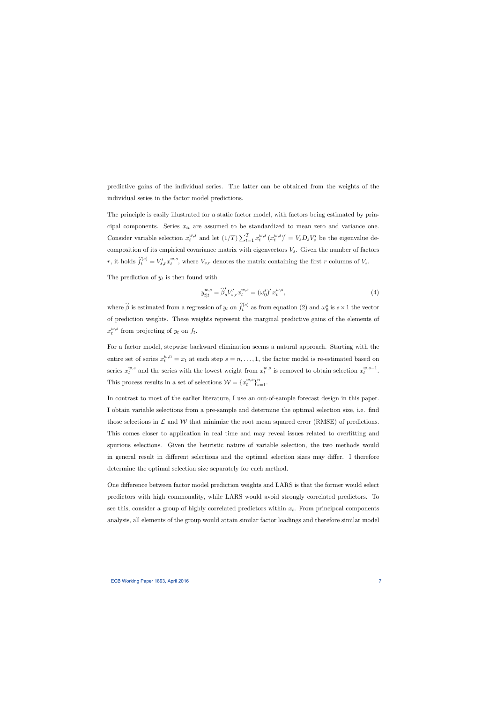predictive gains of the individual series. The latter can be obtained from the weights of the individual series in the factor model predictions.

The principle is easily illustrated for a static factor model, with factors being estimated by principal components. Series  $x_{it}$  are assumed to be standardized to mean zero and variance one. Consider variable selection  $x_t^{w,s}$  $_t^{w,s}$  and let  $(1/T)\sum_{t=1}^T x_t^{w,s}$  $_{t}^{w,s}\left( x_{t}^{w,s}\right)$  $\binom{w,s}{t}^{\prime} = V_s D_s V_s^{\prime}$  be the eigenvalue decomposition of its empirical covariance matrix with eigenvectors  $V_s$ . Given the number of factors r, it holds  $\widehat{f}_t^{(s)} = V'_{s,r} x_t^{w,s}$  $t^{w,s}$ , where  $V_{s,r}$  denotes the matrix containing the first r columns of  $V_s$ .

The prediction of  $y_t$  is then found with

$$
y_{t|t}^{w,s} = \hat{\beta}'_s V'_{s,r} x_t^{w,s} = (\omega_0^s)' x_t^{w,s}, \qquad (4)
$$

where  $\widehat{\beta}$  is estimated from a regression of  $y_t$  on  $\widehat{f}_t^{(s)}$  as from equation (2) and  $\omega_0^s$  is  $s \times 1$  the vector of prediction weights. These weights represent the marginal predictive gains of the elements of  $x_t^{w,s}$  $t^{w,s}$  from projecting of  $y_t$  on  $f_t$ .

For a factor model, stepwise backward elimination seems a natural approach. Starting with the entire set of series  $x_t^{w,n} = x_t$  at each step  $s = n, \ldots, 1$ , the factor model is re-estimated based on series  $x_t^{w,s}$  $t^{w,s}$  and the series with the lowest weight from  $x_t^{w,s}$  $u_t^{w,s}$  is removed to obtain selection  $x_t^{w,s-1}$ . This process results in a set of selections  $\mathcal{W} = \{x_t^{w,s}$  $_{t}^{w,s}\}_{s=1}^{n}$ .

In contrast to most of the earlier literature, I use an out-of-sample forecast design in this paper. I obtain variable selections from a pre-sample and determine the optimal selection size, i.e. Önd those selections in  $\mathcal L$  and  $\mathcal W$  that minimize the root mean squared error (RMSE) of predictions. This comes closer to application in real time and may reveal issues related to overfitting and spurious selections. Given the heuristic nature of variable selection, the two methods would in general result in different selections and the optimal selection sizes may differ. I therefore determine the optimal selection size separately for each method.

One difference between factor model prediction weights and LARS is that the former would select predictors with high commonality, while LARS would avoid strongly correlated predictors. To see this, consider a group of highly correlated predictors within  $x_t$ . From principcal components analysis, all elements of the group would attain similar factor loadings and therefore similar model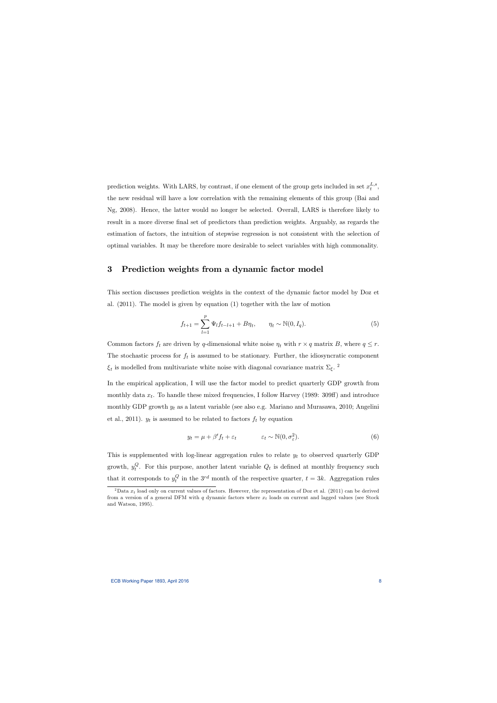prediction weights. With LARS, by contrast, if one element of the group gets included in set  $x_t^{L,s}$  $_t^{L,s},$ the new residual will have a low correlation with the remaining elements of this group (Bai and Ng, 2008). Hence, the latter would no longer be selected. Overall, LARS is therefore likely to result in a more diverse final set of predictors than prediction weights. Arguably, as regards the estimation of factors, the intuition of stepwise regression is not consistent with the selection of optimal variables. It may be therefore more desirable to select variables with high commonality.

# 3 Prediction weights from a dynamic factor model

This section discusses prediction weights in the context of the dynamic factor model by Doz et al. (2011). The model is given by equation (1) together with the law of motion

$$
f_{t+1} = \sum_{l=1}^{p} \Psi_l f_{t-l+1} + B \eta_t, \qquad \eta_t \sim \mathbb{N}(0, I_q). \tag{5}
$$

Common factors  $f_t$  are driven by q-dimensional white noise  $\eta_t$  with  $r \times q$  matrix B, where  $q \leq r$ . The stochastic process for  $f_t$  is assumed to be stationary. Further, the idiosyncratic component  $\xi_t$  is modelled from multivariate white noise with diagonal covariance matrix  $\Sigma_{\xi}$ .<sup>2</sup>

In the empirical application, I will use the factor model to predict quarterly GDP growth from monthly data  $x_t$ . To handle these mixed frequencies, I follow Harvey (1989: 309ff) and introduce monthly GDP growth  $y_t$  as a latent variable (see also e.g. Mariano and Murasawa, 2010; Angelini et al., 2011).  $y_t$  is assumed to be related to factors  $f_t$  by equation

$$
y_t = \mu + \beta' f_t + \varepsilon_t \qquad \qquad \varepsilon_t \sim \mathbb{N}(0, \sigma_\varepsilon^2). \tag{6}
$$

This is supplemented with log-linear aggregation rules to relate  $y_t$  to observed quarterly GDP growth,  $y_t^Q$  $t_t^Q$ . For this purpose, another latent variable  $Q_t$  is defined at monthly frequency such that it corresponds to  $y_t^Q$  $t_i^Q$  in the 3<sup>rd</sup> month of the respective quarter,  $t = 3k$ . Aggregation rules

<sup>&</sup>lt;sup>2</sup>Data  $x_t$  load only on current values of factors. However, the representation of Doz et al. (2011) can be derived from a version of a general DFM with  $q$  dynamic factors where  $x_t$  loads on current and lagged values (see Stock and Watson, 1995).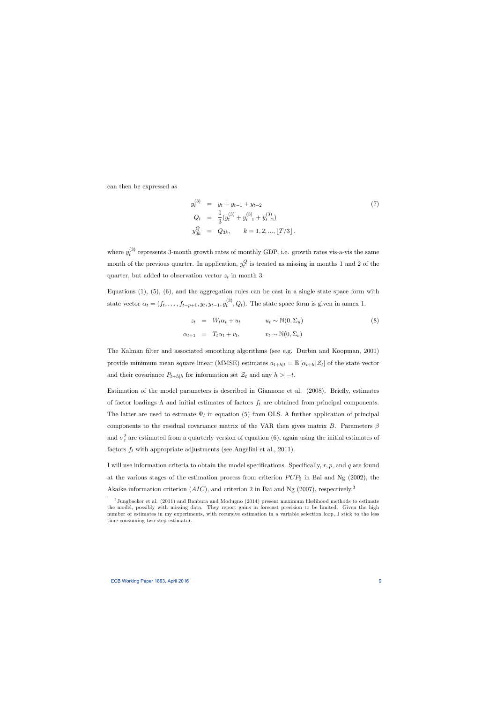can then be expressed as

$$
y_t^{(3)} = y_t + y_{t-1} + y_{t-2}
$$
  
\n
$$
Q_t = \frac{1}{3} (y_t^{(3)} + y_{t-1}^{(3)} + y_{t-2}^{(3)})
$$
  
\n
$$
y_{3k}^Q = Q_{3k}, \qquad k = 1, 2, ..., \lfloor T/3 \rfloor.
$$
\n(7)

where  $y_t^{(3)}$  $t<sup>(3)</sup>$  represents 3-month growth rates of monthly GDP, i.e. growth rates vis-a-vis the same month of the previous quarter. In application,  $y_t^Q$  $\mathcal{C}_t^{\mathcal{G}}$  is treated as missing in months 1 and 2 of the quarter, but added to observation vector  $z_t$  in month 3.

Equations  $(1)$ ,  $(5)$ ,  $(6)$ , and the aggregation rules can be cast in a single state space form with state vector  $\alpha_t = (f_t, \ldots, f_{t-p+1}, y_t, y_{t-1}, y_t^{(3)})$  $t^{(0)}$ ,  $Q_t$ ). The state space form is given in annex 1.

$$
z_t = W_t \alpha_t + u_t \qquad u_t \sim \mathbb{N}(0, \Sigma_u)
$$
  

$$
\alpha_{t+1} = T_t \alpha_t + v_t, \qquad v_t \sim \mathbb{N}(0, \Sigma_v)
$$
 (8)

The Kalman filter and associated smoothing algorithms (see e.g. Durbin and Koopman, 2001) provide minimum mean square linear (MMSE) estimates  $a_{t+h|t} = \mathbb{E} [\alpha_{t+h} | \mathcal{Z}_t]$  of the state vector and their covariance  $P_{t+h|h}$  for information set  $\mathcal{Z}_t$  and any  $h > -t$ .

Estimation of the model parameters is described in Giannone et al. (2008). Briefly, estimates of factor loadings  $\Lambda$  and initial estimates of factors  $f_t$  are obtained from principal components. The latter are used to estimate  $\Psi_l$  in equation (5) from OLS. A further application of principal components to the residual covariance matrix of the VAR then gives matrix  $B$ . Parameters  $\beta$ and  $\sigma_{\varepsilon}^2$  are estimated from a quarterly version of equation (6), again using the initial estimates of factors  $f_t$  with appropriate adjustments (see Angelini et al., 2011).

I will use information criteria to obtain the model specifications. Specifically,  $r, p$ , and q are found at the various stages of the estimation process from criterion  $PCP_2$  in Bai and Ng (2002), the Akaike information criterion  $(AIC)$ , and criterion 2 in Bai and Ng (2007), respectively.<sup>3</sup>

<sup>3</sup> Jungbacker et al. (2011) and Banbura and Modugno (2014) present maximum likelihood methods to estimate the model, possibly with missing data. They report gains in forecast precision to be limited. Given the high number of estimates in my experiments, with recursive estimation in a variable selection loop, I stick to the less time-consuming two-step estimator.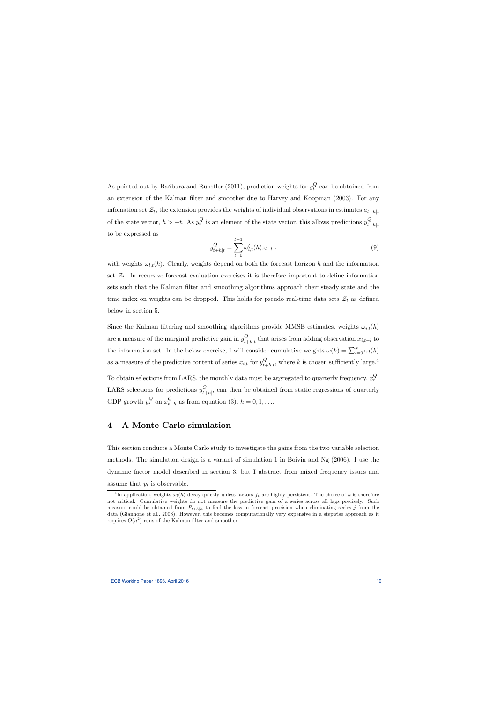As pointed out by Bańbura and Rünstler (2011), prediction weights for  $y_t^Q$  $t_t^{\mathcal{Q}}$  can be obtained from an extension of the Kalman filter and smoother due to Harvey and Koopman (2003). For any infomation set  $\mathcal{Z}_t$ , the extension provides the weights of individual observations in estimates  $a_{t+h|t}$ of the state vector,  $h > -t$ . As  $y_t^Q$  $_t^Q$  is an element of the state vector, this allows predictions  $y_{t+1}^Q$  $t+h|t$ to be expressed as

$$
y_{t+h|t}^{Q} = \sum_{l=0}^{t-1} \omega'_{l,t}(h) z_{t-l} .
$$
\n(9)

with weights  $\omega_{l,t}(h)$ . Clearly, weights depend on both the forecast horizon h and the information set  $\mathcal{Z}_t$ . In recursive forecast evaluation exercises it is therefore important to define information sets such that the Kalman filter and smoothing algorithms approach their steady state and the time index on weights can be dropped. This holds for pseudo real-time data sets  $\mathcal{Z}_t$  as defined below in section 5.

Since the Kalman filtering and smoothing algorithms provide MMSE estimates, weights  $\omega_{i,l}(h)$ are a measure of the marginal predictive gain in  $y_{t_1}^Q$  $\mathcal{L}_{t+h|t}$  that arises from adding observation  $x_{i,t-l}$  to the information set. In the below exercise, I will consider cumulative weights  $\omega(h) = \sum_{l=0}^{k} \omega_l(h)$ as a measure of the predictive content of series  $x_{i,t}$  for  $y_{t}^Q$  $Q_{t+h|t}$ , where k is chosen sufficiently large.<sup>4</sup>

To obtain selections from LARS, the monthly data must be aggregated to quarterly frequency,  $x_t^Q$  $_t^\mathcal{Q}$ . LARS selections for predictions  $y_{t_1}^Q$  $t_{th}|t$  can then be obtained from static regressions of quarterly GDP growth  $y_t^Q$  $t^Q$  on  $x^Q_{t^-}$  $\mathcal{L}_{t-h}$  as from equation (3),  $h = 0, 1, \ldots$ 

## 4 A Monte Carlo simulation

This section conducts a Monte Carlo study to investigate the gains from the two variable selection methods. The simulation design is a variant of simulation 1 in Boivin and Ng (2006). I use the dynamic factor model described in section 3, but I abstract from mixed frequency issues and assume that  $y_t$  is observable.

<sup>&</sup>lt;sup>4</sup>In application, weights  $\omega_l(h)$  decay quickly unless factors  $f_t$  are highly persistent. The choice of k is therefore not critical. Cumulative weights do not measure the predictive gain of a series across all lags precisely. Such measure could be obtained from  $P_{t+h|h}$  to find the loss in forecast precision when eliminating series j from the data (Giannone et al., 2008). However, this becomes computationally very expensive in a stepwise approach as it requires  $O(n^2)$  runs of the Kalman filter and smoother.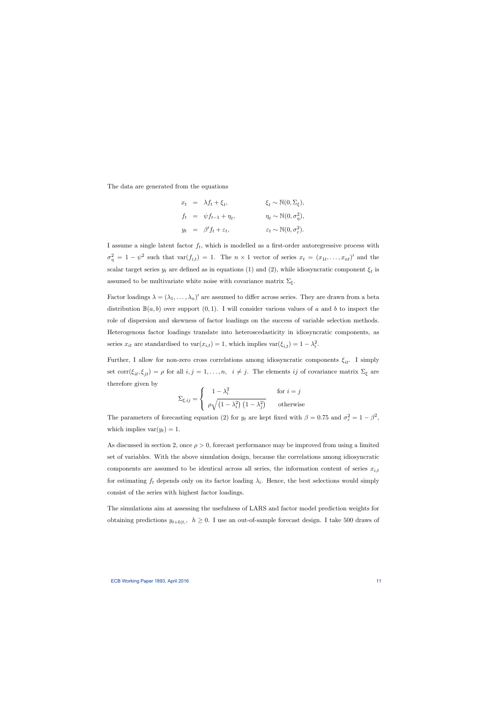The data are generated from the equations

$$
x_t = \lambda f_t + \xi_t, \qquad \xi_t \sim \mathbb{N}(0, \Sigma_{\xi}),
$$
  
\n
$$
f_t = \psi f_{t-1} + \eta_t, \qquad \eta_t \sim \mathbb{N}(0, \sigma_{\eta}^2),
$$
  
\n
$$
y_t = \beta' f_t + \varepsilon_t, \qquad \varepsilon_t \sim \mathbb{N}(0, \sigma_{\varepsilon}^2).
$$

I assume a single latent factor  $f_t$ , which is modelled as a first-order autoregressive process with  $\sigma_{\eta}^2 = 1 - \psi^2$  such that  $\text{var}(f_{i,t}) = 1$ . The  $n \times 1$  vector of series  $x_t = (x_{1t}, \dots, x_{nt})'$  and the scalar target series  $y_t$  are defined as in equations (1) and (2), while idiosyncratic component  $\xi_t$  is assumed to be multivariate white noise with covariance matrix  $\Sigma_{\xi}$ .

Factor loadings  $\lambda = (\lambda_1, \ldots, \lambda_n)'$  are assumed to differ across series. They are drawn from a beta distribution  $\mathbb{B}(a, b)$  over support  $(0, 1)$ . I will consider various values of a and b to inspect the role of dispersion and skewness of factor loadings on the success of variable selection methods. Heterogenous factor loadings translate into heteroscedasticity in idiosyncratic components, as series  $x_{it}$  are standardised to  $\text{var}(x_{i,t}) = 1$ , which implies  $\text{var}(\xi_{i,t}) = 1 - \lambda_i^2$ .

Further, I allow for non-zero cross correlations among idiosyncratic components  $\xi_{it}$ . I simply set  $\text{corr}(\xi_{it}, \xi_{jt}) = \rho$  for all  $i, j = 1, ..., n, i \neq j$ . The elements ij of covariance matrix  $\Sigma_{\xi}$  are therefore given by

$$
\Sigma_{\xi,ij} = \begin{cases}\n1 - \lambda_i^2 & \text{for } i = j \\
\rho \sqrt{\left(1 - \lambda_i^2\right) \left(1 - \lambda_j^2\right)} & \text{otherwise}\n\end{cases}
$$

The parameters of forecasting equation (2) for  $y_t$  are kept fixed with  $\beta = 0.75$  and  $\sigma_{\varepsilon}^2 = 1 - \beta^2$ , which implies  $var(y_t) = 1$ .

As discussed in section 2, once  $\rho > 0$ , forecast performance may be improved from using a limited set of variables. With the above simulation design, because the correlations among idiosyncratic components are assumed to be identical across all series, the information content of series  $x_{i,t}$ for estimating  $f_t$  depends only on its factor loading  $\lambda_i$ . Hence, the best selections would simply consist of the series with highest factor loadings.

The simulations aim at assessing the usefulness of LARS and factor model prediction weights for obtaining predictions  $y_{t+h|t}$ ,  $h \geq 0$ . I use an out-of-sample forecast design. I take 500 draws of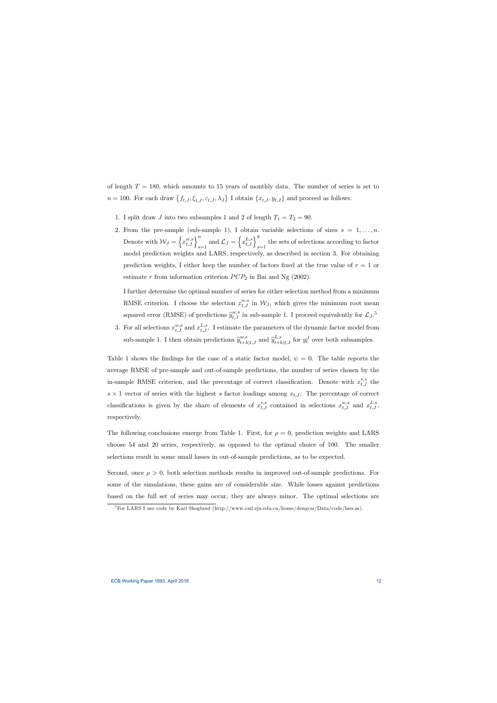of length  $T = 180$ , which amounts to 15 years of monthly data. The number of series is set to  $n = 100$ . For each draw  $\{f_{t,J}, \xi_{t,J}, \varepsilon_{t,J}, \lambda_J\}$  I obtain  $\{x_{t,J}, y_{t,J}\}$  and proceed as follows:

- 1. I split draw J into two subsamples 1 and 2 of length  $T_1 = T_2 = 90$ .
- 2. From the pre-sample (sub-sample 1), I obtain variable selections of sizes  $s = 1, \ldots, n$ . Denote with  $W_J = \left\{ x_{t,J}^{w,s} \right\}_{s=1}^n$  and  $\mathcal{L}_J = \left\{ x_{t,J}^{L,s} \right\}_{s=1}^k$  the sets of selections according to factor model prediction weights and LARS, respectively, as described in section 3. For obtaining prediction weights, I either keep the number of factors fixed at the true value of  $r = 1$  or estimate  $r$  from information criterion  $PCP_2$  in Bai and Ng (2002).

I further determine the optimal number of series for either selection method from a minimum RMSE criterion. I choose the selection  $x_{t,J}^{w,s}$  in  $\mathcal{W}_J$ , which gives the minimum root mean squared error (RMSE) of predictions  $\hat{y}^{w,s}_{t,J}$  in sub-sample 1. I proceed equivalently for  $\mathcal{L}_J$ .<sup>5</sup>

3. For all selections  $x_{t,J}^{w,s}$  and  $x_{t,J}^{L,s}$ , I estimate the parameters of the dynamic factor model from sub-sample 1. I then obtain predictions  $\hat{y}^{w,s}_{t+h|t,J}$  and  $\hat{y}^{L,s}_{t+h|t,J}$  for  $y^J_t$  over both subsamples.

Table 1 shows the findings for the case of a static factor model,  $\psi = 0$ . The table reports the average RMSE of pre-sample and out-of-sample predictions, the number of series chosen by the in-sample RMSE criterion, and the precentage of correct classification. Denote with  $x_{t,J}^{*,s}$  the  $s \times 1$  vector of series with the highest s factor loadings among  $x_{t,j}$ . The percentage of correct classifications is given by the share of elements of  $x_{t,J}^{*,s}$  contained in selections  $x_{t,J}^{w,s}$  and  $x_{t,J}^{L,s}$ , respectively.

The following conclusions emerge from Table 1. First, for  $\rho = 0$ , prediction weights and LARS choose 54 and 20 series, respectively, as opposed to the optimal choice of 100. The smaller selections result in some small losses in out-of-sample predictions, as to be expected.

Second, once  $\rho > 0$ , both selection methods results in improved out-of-sample predictions. For some of the simulations, these gains are of considerable size. While losses against predictions based on the full set of series may occur, they are always minor. The optimal selections are

<sup>5</sup>For LARS I use code by Karl Skoglund (http://www.cad.zju.edu.cn/home/dengcai/Data/code/lars.m).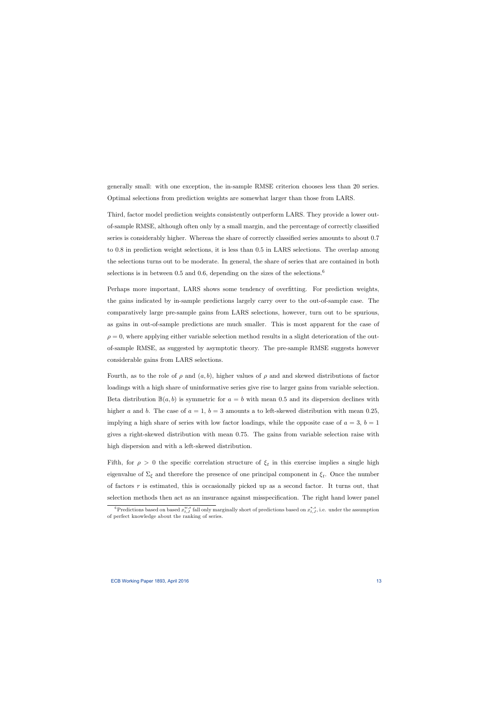generally small: with one exception, the in-sample RMSE criterion chooses less than 20 series. Optimal selections from prediction weights are somewhat larger than those from LARS.

Third, factor model prediction weights consistently outperform LARS. They provide a lower outof-sample RMSE, although often only by a small margin, and the percentage of correctly classified series is considerably higher. Whereas the share of correctly classified series amounts to about 0.7 to 0:8 in prediction weight selections, it is less than 0:5 in LARS selections. The overlap among the selections turns out to be moderate. In general, the share of series that are contained in both selections is in between 0.5 and 0.6, depending on the sizes of the selections.<sup>6</sup>

Perhaps more important, LARS shows some tendency of overfitting. For prediction weights, the gains indicated by in-sample predictions largely carry over to the out-of-sample case. The comparatively large pre-sample gains from LARS selections, however, turn out to be spurious, as gains in out-of-sample predictions are much smaller. This is most apparent for the case of  $\rho = 0$ , where applying either variable selection method results in a slight deterioration of the outof-sample RMSE, as suggested by asymptotic theory. The pre-sample RMSE suggests however considerable gains from LARS selections.

Fourth, as to the role of  $\rho$  and  $(a, b)$ , higher values of  $\rho$  and and skewed distributions of factor loadings with a high share of uninformative series give rise to larger gains from variable selection. Beta distribution  $\mathbb{B}(a, b)$  is symmetric for  $a = b$  with mean 0.5 and its dispersion declines with higher a and b. The case of  $a = 1$ ,  $b = 3$  amounts a to left-skewed distribution with mean 0.25, implying a high share of series with low factor loadings, while the opposite case of  $a = 3$ ,  $b = 1$ gives a right-skewed distribution with mean 0:75. The gains from variable selection raise with high dispersion and with a left-skewed distribution.

Fifth, for  $\rho > 0$  the specific correlation structure of  $\xi_t$  in this exercise implies a single high eigenvalue of  $\Sigma_{\xi}$  and therefore the presence of one principal component in  $\xi_{t}$ . Once the number of factors  $r$  is estimated, this is occasionally picked up as a second factor. It turns out, that selection methods then act as an insurance against misspecification. The right hand lower panel

 ${}^6$ Predictions based on based  $x_{t,J}^{w,s}$  fall only marginally short of predictions based on  $x_{t,J}^{*,s}$ , i.e. under the assumption of perfect knowledge about the ranking of series.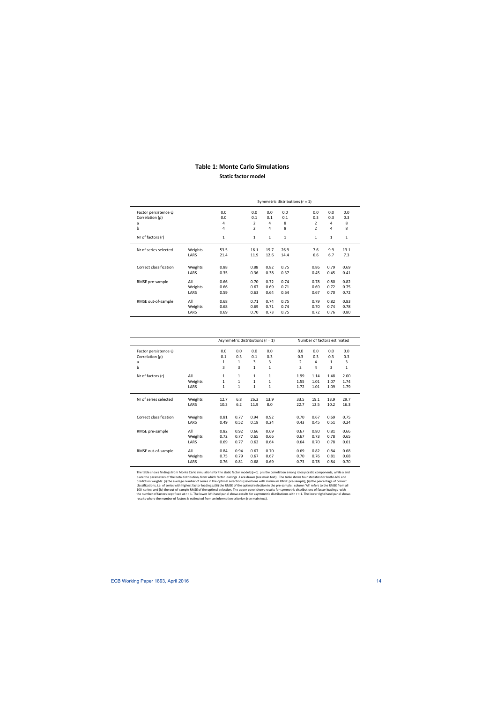## **Table 1: Monte Carlo Simulations**

**Static factor model**

|                           |         |              |              |              | Symmetric distributions ( $r = 1$ ) |              |              | 0.0<br>0.3<br>8<br>8<br>$\mathbf{1}$ |  |  |  |  |  |  |  |
|---------------------------|---------|--------------|--------------|--------------|-------------------------------------|--------------|--------------|--------------------------------------|--|--|--|--|--|--|--|
| Factor persistence $\psi$ |         | 0.0          | 0.0          | 0.0          | 0.0                                 | 0.0          | 0.0          |                                      |  |  |  |  |  |  |  |
| Correlation $(\rho)$      |         | 0.0          | 0.1          | 0.1          | 0.1                                 | 0.3          | 0.3          |                                      |  |  |  |  |  |  |  |
| a                         |         | 4            | 2            | 4            | 8                                   | 2            | 4            |                                      |  |  |  |  |  |  |  |
| b                         |         | 4            | 2            | 4            | 8                                   | 2            | 4            |                                      |  |  |  |  |  |  |  |
| Nr of factors (r)         |         | $\mathbf{1}$ | $\mathbf{1}$ | $\mathbf{1}$ | $\mathbf 1$                         | $\mathbf{1}$ | $\mathbf{1}$ |                                      |  |  |  |  |  |  |  |
| Nr of series selected     | Weights | 53.5         | 16.1         | 19.7         | 26.9                                | 7.6          | 9.9          | 13.1                                 |  |  |  |  |  |  |  |
|                           | LARS    | 21.4         | 11.9         | 12.6         | 14.4                                | 6.6          | 6.7          | 7.3                                  |  |  |  |  |  |  |  |
| Correct classification    | Weights | 0.88         | 0.88         | 0.82         | 0.75                                | 0.86         | 0.79         | 0.69                                 |  |  |  |  |  |  |  |
|                           | LARS    | 0.35         | 0.36         | 0.38         | 0.37                                | 0.45         | 0.45         | 0.41                                 |  |  |  |  |  |  |  |
| RMSE pre-sample           | All     | 0.66         | 0.70         | 0.72         | 0.74                                | 0.78         | 0.80         | 0.82                                 |  |  |  |  |  |  |  |
|                           | Weights | 0.66         | 0.67         | 0.69         | 0.71                                | 0.69         | 0.72         | 0.75                                 |  |  |  |  |  |  |  |
|                           | LARS    | 0.59         | 0.63         | 0.64         | 0.64                                | 0.67         | 0.70         | 0.72                                 |  |  |  |  |  |  |  |
| RMSE out-of-sample        | All     | 0.68         | 0.71         | 0.74         | 0.75                                | 0.79         | 0.82         | 0.83                                 |  |  |  |  |  |  |  |
|                           | Weights | 0.68         | 0.69         | 0.71         | 0.74                                | 0.70         | 0.74         | 0.78                                 |  |  |  |  |  |  |  |
|                           | LARS    | 0.69         | 0.70         | 0.73         | 0.75                                | 0.72         | 0.76         | 0.80                                 |  |  |  |  |  |  |  |

|                           |         |              | Asymmetric distributions ( $r = 1$ ) |              |              | Number of factors estimated |      |      |              |  |
|---------------------------|---------|--------------|--------------------------------------|--------------|--------------|-----------------------------|------|------|--------------|--|
| Factor persistence $\psi$ |         | 0.0          | 0.0                                  | 0.0          | 0.0          | 0.0                         | 0.0  | 0.0  | 0.0          |  |
| Correlation (p)           |         | 0.1          | 0.3                                  | 0.1          | 0.3          | 0.3                         | 0.3  | 0.3  | 0.3          |  |
| a                         |         | 1            | 1                                    | 3            | 3            | 2                           | 4    | 1    | 3            |  |
| $\mathsf b$               |         | 3            | 3                                    | $\mathbf{1}$ | $\mathbf{1}$ | $\overline{2}$              | 4    | 3    | $\mathbf{1}$ |  |
| Nr of factors (r)         | All     | $\mathbf{1}$ | $\mathbf{1}$                         | 1            | $\mathbf{1}$ | 1.99                        | 1.14 | 1.48 | 2.00         |  |
|                           | Weights | $\mathbf{1}$ | $\mathbf{1}$                         | $\mathbf{1}$ | 1            | 1.55                        | 1.01 | 1.07 | 1.74         |  |
|                           | LARS    | $\mathbf{1}$ | $\mathbf{1}$                         | $\mathbf{1}$ | $\mathbf{1}$ | 1.72                        | 1.01 | 1.09 | 1.79         |  |
| Nr of series selected     | Weights | 12.7         | 6.8                                  | 26.3         | 13.9         | 33.5                        | 19.1 | 13.9 | 29.7         |  |
|                           | LARS    | 10.3         | 6.2                                  | 11.9         | 8.0          | 22.7                        | 12.5 | 10.2 | 16.3         |  |
|                           |         |              |                                      |              |              |                             |      |      |              |  |
| Correct classification    | Weights | 0.81         | 0.77                                 | 0.94         | 0.92         | 0.70                        | 0.67 | 0.69 | 0.75         |  |
|                           | LARS    | 0.49         | 0.52                                 | 0.18         | 0.24         | 0.43                        | 0.45 | 0.51 | 0.24         |  |
| RMSE pre-sample           | All     | 0.82         | 0.92                                 | 0.66         | 0.69         | 0.67                        | 0.80 | 0.81 | 0.66         |  |
|                           | Weights | 0.72         | 0.77                                 | 0.65         | 0.66         | 0.67                        | 0.73 | 0.78 | 0.65         |  |
|                           | LARS    | 0.69         | 0.77                                 | 0.62         | 0.64         | 0.64                        | 0.70 | 0.78 | 0.61         |  |
| RMSE out-of-sample        | All     | 0.84         | 0.94                                 | 0.67         | 0.70         | 0.69                        | 0.82 | 0.84 | 0.68         |  |
|                           | Weights | 0.75         | 0.79                                 | 0.67         | 0.67         | 0.70                        | 0.76 | 0.81 | 0.68         |  |
|                           | LARS    | 0.76         | 0.81                                 | 0.68         | 0.69         | 0.73                        | 0.78 | 0.84 | 0.70         |  |
|                           |         |              |                                      |              |              |                             |      |      |              |  |

the number of factors kept fixed at r = 1. The lower left-hand panel shows results for asymmetric distributions with r = 1. The lower right hand panel shows<br>results where the number of factors is estimated from an informat The table shows findings from Monte Carlo simulations for the static factor model (ψ=0). ρ is the correlation among idiosyncratic components, while a and b are the parameters of the beta distribution, from which factor loadings λare drawn (see main text). The table shows four statistics for both LARS and<br>prediction weights: (i) the average number of series in the optimal s classifications, i.e. of series with highest factor loadings; (iii) the RMSE of the optimal selection in the pre‐sample; column 'All' refers to the RMSE from all 100 series; and (iv) the out‐of‐sample RMSE of the optimal selection. The upper panel shows results for symmetric distributions of factor loadings with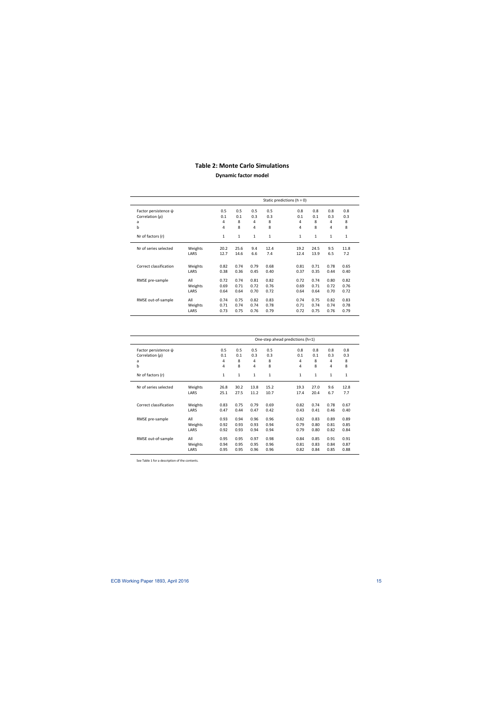# **Table 2: Monte Carlo Simulations**

## **Dynamic factor model**

|                           |         |              | Static predictions ( $h = 0$ ) |              |              |              |              |              |              |
|---------------------------|---------|--------------|--------------------------------|--------------|--------------|--------------|--------------|--------------|--------------|
| Factor persistence $\psi$ |         | 0.5          | 0.5                            | 0.5          | 0.5          | 0.8          | 0.8          | 0.8          | 0.8          |
| Correlation (p)           |         | 0.1          | 0.1                            | 0.3          | 0.3          | 0.1          | 0.1          | 0.3          | 0.3          |
| a                         |         | 4            | 8                              | 4            | 8            | 4            | 8            | 4            | 8            |
| b                         |         | 4            | 8                              | 4            | 8            | 4            | 8            | 4            | 8            |
| Nr of factors (r)         |         | $\mathbf{1}$ | $\mathbf{1}$                   | $\mathbf{1}$ | $\mathbf{1}$ | $\mathbf{1}$ | $\mathbf{1}$ | $\mathbf{1}$ | $\mathbf{1}$ |
| Nr of series selected     | Weights | 20.2         | 25.6                           | 9.4          | 12.4         | 19.2         | 24.5         | 9.5          | 11.8         |
|                           | LARS    | 12.7         | 14.6                           | 6.6          | 7.4          | 12.4         | 13.9         | 6.5          | 7.2          |
| Correct classification    | Weights | 0.82         | 0.74                           | 0.79         | 0.68         | 0.81         | 0.71         | 0.78         | 0.65         |
|                           | LARS    | 0.38         | 0.36                           | 0.45         | 0.40         | 0.37         | 0.35         | 0.44         | 0.40         |
| RMSE pre-sample           | All     | 0.72         | 0.74                           | 0.81         | 0.82         | 0.72         | 0.74         | 0.80         | 0.82         |
|                           | Weights | 0.69         | 0.71                           | 0.72         | 0.76         | 0.69         | 0.71         | 0.72         | 0.76         |
|                           | LARS    | 0.64         | 0.64                           | 0.70         | 0.72         | 0.64         | 0.64         | 0.70         | 0.72         |
| RMSE out-of-sample        | All     | 0.74         | 0.75                           | 0.82         | 0.83         | 0.74         | 0.75         | 0.82         | 0.83         |
|                           | Weights | 0.71         | 0.74                           | 0.74         | 0.78         | 0.71         | 0.74         | 0.74         | 0.78         |
|                           | LARS    | 0.73         | 0.75                           | 0.76         | 0.79         | 0.72         | 0.75         | 0.76         | 0.79         |

|                                                        |                        | One-step ahead predictions (h=1) |                      |                      |                      |                      |                      |                      |                      |  |
|--------------------------------------------------------|------------------------|----------------------------------|----------------------|----------------------|----------------------|----------------------|----------------------|----------------------|----------------------|--|
| Factor persistence $\psi$<br>Correlation (p)<br>a<br>b |                        | 0.5<br>0.1<br>4<br>4             | 0.5<br>0.1<br>8<br>8 | 0.5<br>0.3<br>4<br>4 | 0.5<br>0.3<br>8<br>8 | 0.8<br>0.1<br>4<br>4 | 0.8<br>0.1<br>8<br>8 | 0.8<br>0.3<br>4<br>4 | 0.8<br>0.3<br>8<br>8 |  |
| Nr of factors (r)                                      |                        | $\mathbf{1}$                     | 1                    | $\mathbf{1}$         | $\mathbf{1}$         | $\mathbf{1}$         | $\mathbf{1}$         | $\mathbf{1}$         | $\mathbf{1}$         |  |
| Nr of series selected                                  | Weights<br>LARS        | 26.8<br>25.1                     | 30.2<br>27.5         | 13.8<br>11.2         | 15.2<br>10.7         | 19.3<br>17.4         | 27.0<br>20.4         | 9.6<br>6.7           | 12.8<br>7.7          |  |
| Correct classification                                 | Weights<br>LARS        | 0.83<br>0.47                     | 0.75<br>0.44         | 0.79<br>0.47         | 0.69<br>0.42         | 0.82<br>0.43         | 0.74<br>0.41         | 0.78<br>0.46         | 0.67<br>0.40         |  |
| RMSE pre-sample                                        | All<br>Weights<br>LARS | 0.93<br>0.92<br>0.92             | 0.94<br>0.93<br>0.93 | 0.96<br>0.93<br>0.94 | 0.96<br>0.94<br>0.94 | 0.82<br>0.79<br>0.79 | 0.83<br>0.80<br>0.80 | 0.89<br>0.81<br>0.82 | 0.89<br>0.85<br>0.84 |  |
| RMSE out-of-sample                                     | All<br>Weights<br>LARS | 0.95<br>0.94<br>0.95             | 0.95<br>0.95<br>0.95 | 0.97<br>0.95<br>0.96 | 0.98<br>0.96<br>0.96 | 0.84<br>0.81<br>0.82 | 0.85<br>0.83<br>0.84 | 0.91<br>0.84<br>0.85 | 0.91<br>0.87<br>0.88 |  |

See Table 1 for a description of the contents.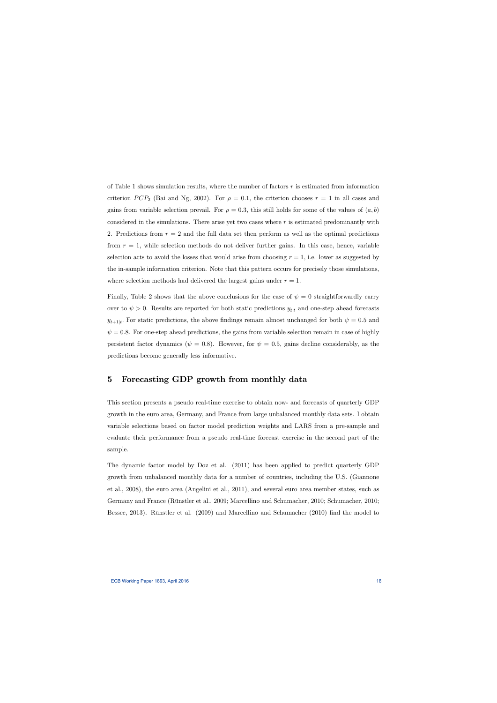of Table 1 shows simulation results, where the number of factors  $r$  is estimated from information criterion PCP<sub>2</sub> (Bai and Ng, 2002). For  $\rho = 0.1$ , the criterion chooses  $r = 1$  in all cases and gains from variable selection prevail. For  $\rho = 0.3$ , this still holds for some of the values of  $(a, b)$ considered in the simulations. There arise yet two cases where  $r$  is estimated predominantly with 2. Predictions from  $r = 2$  and the full data set then perform as well as the optimal predictions from  $r = 1$ , while selection methods do not deliver further gains. In this case, hence, variable selection acts to avoid the losses that would arise from choosing  $r = 1$ , i.e. lower as suggested by the in-sample information criterion. Note that this pattern occurs for precisely those simulations, where selection methods had delivered the largest gains under  $r = 1$ .

Finally, Table 2 shows that the above conclusions for the case of  $\psi = 0$  straightforwardly carry over to  $\psi > 0$ . Results are reported for both static predictions  $y_{t|t}$  and one-step ahead forecasts  $y_{t+1|t}$ . For static predictions, the above findings remain almost unchanged for both  $\psi = 0.5$  and  $\psi = 0.8$ . For one-step ahead predictions, the gains from variable selection remain in case of highly persistent factor dynamics ( $\psi = 0.8$ ). However, for  $\psi = 0.5$ , gains decline considerably, as the predictions become generally less informative.

# 5 Forecasting GDP growth from monthly data

This section presents a pseudo real-time exercise to obtain now- and forecasts of quarterly GDP growth in the euro area, Germany, and France from large unbalanced monthly data sets. I obtain variable selections based on factor model prediction weights and LARS from a pre-sample and evaluate their performance from a pseudo real-time forecast exercise in the second part of the sample.

The dynamic factor model by Doz et al. (2011) has been applied to predict quarterly GDP growth from unbalanced monthly data for a number of countries, including the U.S. (Giannone et al., 2008), the euro area (Angelini et al., 2011), and several euro area member states, such as Germany and France (Rünstler et al., 2009; Marcellino and Schumacher, 2010; Schumacher, 2010; Bessec, 2013). Rünstler et al. (2009) and Marcellino and Schumacher (2010) find the model to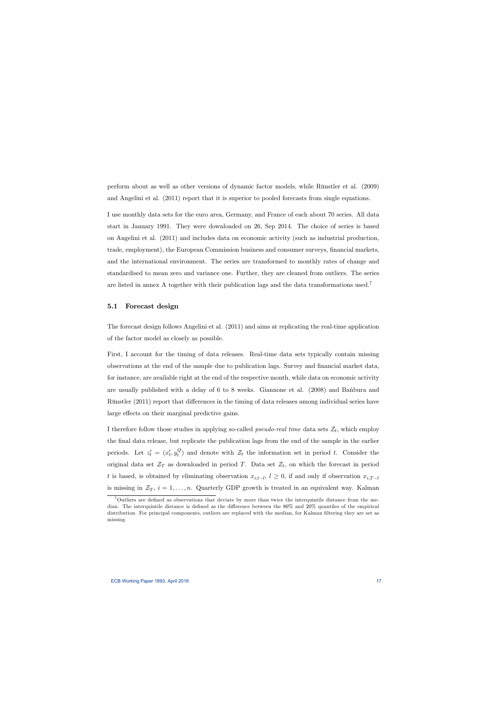perform about as well as other versions of dynamic factor models, while Rünstler et al. (2009) and Angelini et al. (2011) report that it is superior to pooled forecasts from single equations.

I use monthly data sets for the euro area, Germany, and France of each about 70 series. All data start in January 1991. They were downloaded on 26, Sep 2014. The choice of series is based on Angelini et al. (2011) and includes data on economic activity (such as industrial production, trade, employment), the European Commission business and consumer surveys, financial markets, and the international environment. The series are transformed to monthly rates of change and standardised to mean zero and variance one. Further, they are cleaned from outliers. The series are listed in annex A together with their publication lags and the data transformations used.<sup>7</sup>

## 5.1 Forecast design

The forecast design follows Angelini et al. (2011) and aims at replicating the real-time application of the factor model as closely as possible.

First, I account for the timing of data releases. Real-time data sets typically contain missing observations at the end of the sample due to publication lags. Survey and financial market data, for instance, are available right at the end of the respective month, while data on economic activity are usually published with a delay of 6 to 8 weeks. Giannone et al.  $(2008)$  and Banbura and Rünstler (2011) report that differences in the timing of data releases among individual series have large effects on their marginal predictive gains.

I therefore follow those studies in applying so-called *pseudo-real time* data sets  $\mathcal{Z}_t$ , which employ the final data release, but replicate the publication lags from the end of the sample in the earlier periods. Let  $z_t' = (x_t', y_t^Q)$  $t_t^{\mathcal{Q}}$  and denote with  $\mathcal{Z}_t$  the information set in period t. Consider the original data set  $\mathcal{Z}_T$  as downloaded in period T. Data set  $\mathcal{Z}_t$ , on which the forecast in period t is based, is obtained by eliminating observation  $x_{i,t-l}$ ,  $l \geq 0$ , if and only if observation  $x_{i,T-l}$ is missing in  $\mathcal{Z}_T$ ,  $i = 1, \ldots, n$ . Quarterly GDP growth is treated in an equivalent way. Kalman

 $7$ Outliers are defined as observations that deviate by more than twice the interquintile distance from the median. The interquintile distance is defined as the difference between the 80% and 20% quantiles of the empirical distribution. For principal components, outliers are replaced with the median, for Kalman filtering they are set as missing.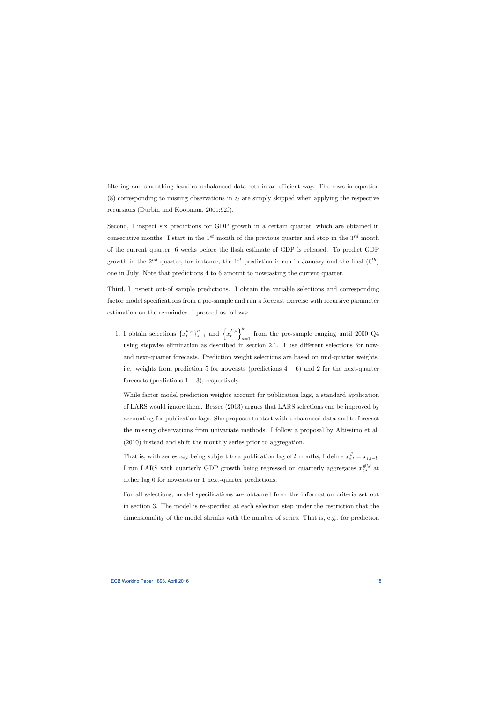filtering and smoothing handles unbalanced data sets in an efficient way. The rows in equation (8) corresponding to missing observations in  $z_t$  are simply skipped when applying the respective recursions (Durbin and Koopman, 2001:92f).

Second, I inspect six predictions for GDP growth in a certain quarter, which are obtained in consecutive months. I start in the  $1^{st}$  month of the previous quarter and stop in the  $3^{rd}$  month of the current quarter, 6 weeks before the áash estimate of GDP is released. To predict GDP growth in the  $2^{nd}$  quarter, for instance, the 1<sup>st</sup> prediction is run in January and the final  $(6^{th})$ one in July. Note that predictions 4 to 6 amount to nowcasting the current quarter.

Third, I inspect out-of sample predictions. I obtain the variable selections and corresponding factor model specifications from a pre-sample and run a forecast exercise with recursive parameter estimation on the remainder. I proceed as follows:

1. I obtain selections  $\{x_t^{w,s}\}$  $\{x_t^{w,s}\}_{s=1}^n$  and  $\left\{x_t^{L,s}\right\}$ t  $\mathcal{N}^k$ from the pre-sample ranging until 2000 Q4 using stepwise elimination as described in section 2.1. I use different selections for nowand next-quarter forecasts. Prediction weight selections are based on mid-quarter weights, i.e. weights from prediction 5 for nowcasts (predictions  $4-6$ ) and 2 for the next-quarter forecasts (predictions  $1 - 3$ ), respectively.

While factor model prediction weights account for publication lags, a standard application of LARS would ignore them. Bessec (2013) argues that LARS selections can be improved by accounting for publication lags. She proposes to start with unbalanced data and to forecast the missing observations from univariate methods. I follow a proposal by Altissimo et al. (2010) instead and shift the monthly series prior to aggregation.

That is, with series  $x_{i,t}$  being subject to a publication lag of l months, I define  $x_{i,t}^{\#} = x_{i,t-l}$ . I run LARS with quarterly GDP growth being regressed on quarterly aggregates  $x_{i,t}^{\#Q}$  at either lag 0 for nowcasts or 1 next-quarter predictions.

For all selections, model specifications are obtained from the information criteria set out in section 3. The model is re-specified at each selection step under the restriction that the dimensionality of the model shrinks with the number of series. That is, e.g., for prediction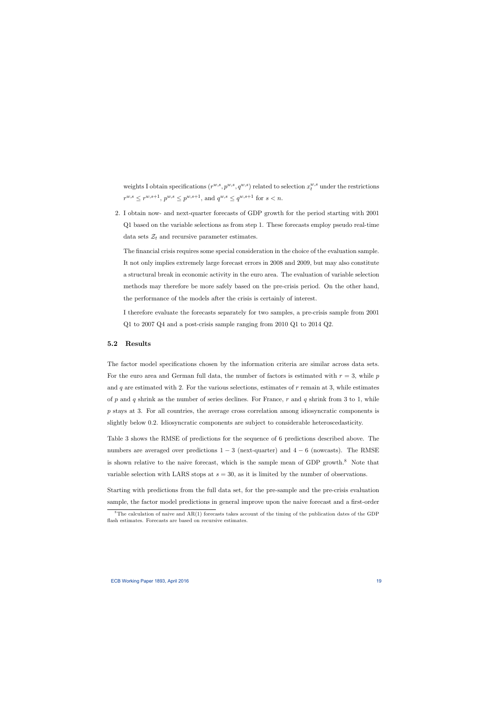weights I obtain specifications  $(r^{w,s}, p^{w,s}, q^{w,s})$  related to selection  $x_t^{w,s}$  under the restrictions  $r^{w,s} \leq r^{w,s+1}, p^{w,s} \leq p^{w,s+1}, \text{ and } q^{w,s} \leq q^{w,s+1} \text{ for } s < n.$ 

2. I obtain now- and next-quarter forecasts of GDP growth for the period starting with 2001 Q1 based on the variable selections as from step 1. These forecasts employ pseudo real-time data sets  $\mathcal{Z}_t$  and recursive parameter estimates.

The financial crisis requires some special consideration in the choice of the evaluation sample. It not only implies extremely large forecast errors in 2008 and 2009, but may also constitute a structural break in economic activity in the euro area. The evaluation of variable selection methods may therefore be more safely based on the pre-crisis period. On the other hand, the performance of the models after the crisis is certainly of interest.

I therefore evaluate the forecasts separately for two samples, a pre-crisis sample from 2001 Q1 to 2007 Q4 and a post-crisis sample ranging from 2010 Q1 to 2014 Q2.

## 5.2 Results

The factor model specifications chosen by the information criteria are similar across data sets. For the euro area and German full data, the number of factors is estimated with  $r = 3$ , while p and  $q$  are estimated with 2. For the various selections, estimates of  $r$  remain at 3, while estimates of p and q shrink as the number of series declines. For France, r and q shrink from 3 to 1, while p stays at 3. For all countries, the average cross correlation among idiosyncratic components is slightly below 0:2. Idiosyncratic components are subject to considerable heteroscedasticity.

Table 3 shows the RMSE of predictions for the sequence of 6 predictions described above. The numbers are averaged over predictions  $1 - 3$  (next-quarter) and  $4 - 6$  (nowcasts). The RMSE is shown relative to the naive forecast, which is the sample mean of GDP growth. $8$  Note that variable selection with LARS stops at  $s = 30$ , as it is limited by the number of observations.

Starting with predictions from the full data set, for the pre-sample and the pre-crisis evaluation sample, the factor model predictions in general improve upon the naive forecast and a first-order

 $8$ The calculation of naive and AR(1) forecasts takes account of the timing of the publication dates of the GDP flash estimates. Forecasts are based on recursive estimates.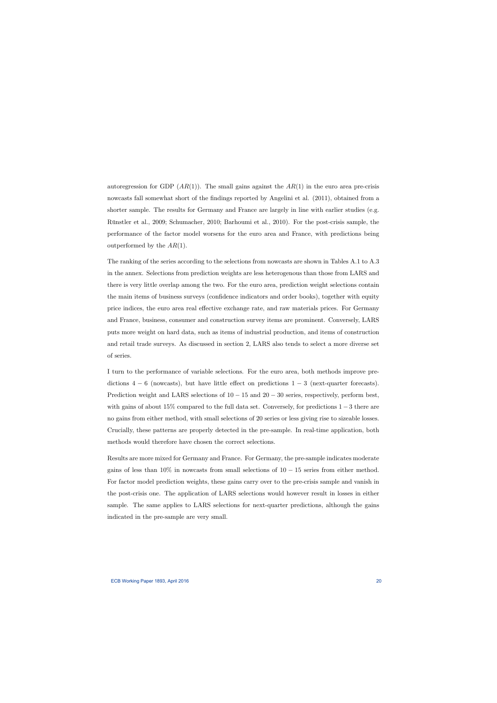autoregression for GDP  $(AR(1))$ . The small gains against the  $AR(1)$  in the euro area pre-crisis nowcasts fall somewhat short of the findings reported by Angelini et al. (2011), obtained from a shorter sample. The results for Germany and France are largely in line with earlier studies (e.g. Rünstler et al., 2009; Schumacher, 2010; Barhoumi et al., 2010). For the post-crisis sample, the performance of the factor model worsens for the euro area and France, with predictions being outperformed by the  $AR(1)$ .

The ranking of the series according to the selections from nowcasts are shown in Tables A.1 to A.3 in the annex. Selections from prediction weights are less heterogenous than those from LARS and there is very little overlap among the two. For the euro area, prediction weight selections contain the main items of business surveys (confidence indicators and order books), together with equity price indices, the euro area real effective exchange rate, and raw materials prices. For Germany and France, business, consumer and construction survey items are prominent. Conversely, LARS puts more weight on hard data, such as items of industrial production, and items of construction and retail trade surveys. As discussed in section 2, LARS also tends to select a more diverse set of series.

I turn to the performance of variable selections. For the euro area, both methods improve predictions  $4-6$  (nowcasts), but have little effect on predictions  $1-3$  (next-quarter forecasts). Prediction weight and LARS selections of  $10 - 15$  and  $20 - 30$  series, respectively, perform best, with gains of about 15% compared to the full data set. Conversely, for predictions  $1-3$  there are no gains from either method, with small selections of 20 series or less giving rise to sizeable losses. Crucially, these patterns are properly detected in the pre-sample. In real-time application, both methods would therefore have chosen the correct selections.

Results are more mixed for Germany and France. For Germany, the pre-sample indicates moderate gains of less than  $10\%$  in nowcasts from small selections of  $10-15$  series from either method. For factor model prediction weights, these gains carry over to the pre-crisis sample and vanish in the post-crisis one. The application of LARS selections would however result in losses in either sample. The same applies to LARS selections for next-quarter predictions, although the gains indicated in the pre-sample are very small.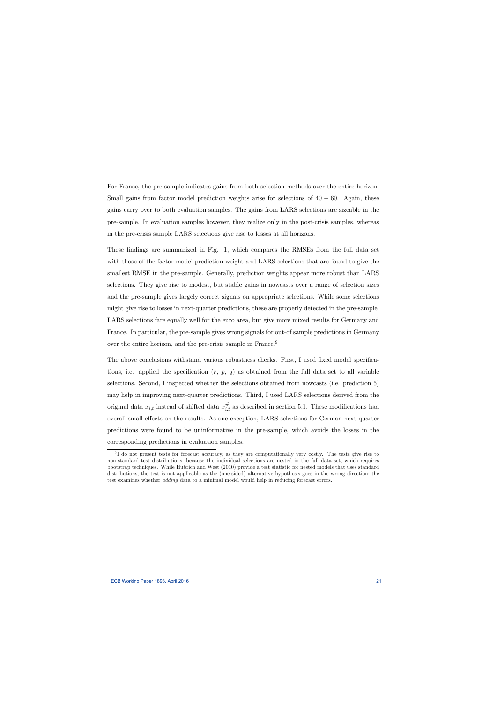For France, the pre-sample indicates gains from both selection methods over the entire horizon. Small gains from factor model prediction weights arise for selections of  $40 - 60$ . Again, these gains carry over to both evaluation samples. The gains from LARS selections are sizeable in the pre-sample. In evaluation samples however, they realize only in the post-crisis samples, whereas in the pre-crisis sample LARS selections give rise to losses at all horizons.

These findings are summarized in Fig. 1, which compares the RMSEs from the full data set with those of the factor model prediction weight and LARS selections that are found to give the smallest RMSE in the pre-sample. Generally, prediction weights appear more robust than LARS selections. They give rise to modest, but stable gains in nowcasts over a range of selection sizes and the pre-sample gives largely correct signals on appropriate selections. While some selections might give rise to losses in next-quarter predictions, these are properly detected in the pre-sample. LARS selections fare equally well for the euro area, but give more mixed results for Germany and France. In particular, the pre-sample gives wrong signals for out-of sample predictions in Germany over the entire horizon, and the pre-crisis sample in France.<sup>9</sup>

The above conclusions withstand various robustness checks. First, I used fixed model specifications, i.e. applied the specification  $(r, p, q)$  as obtained from the full data set to all variable selections. Second, I inspected whether the selections obtained from nowcasts (i.e. prediction 5) may help in improving next-quarter predictions. Third, I used LARS selections derived from the original data  $x_{i,t}$  instead of shifted data  $x_{i,t}^{\#}$  as described in section 5.1. These modifications had overall small effects on the results. As one exception, LARS selections for German next-quarter predictions were found to be uninformative in the pre-sample, which avoids the losses in the corresponding predictions in evaluation samples.

<sup>&</sup>lt;sup>9</sup>I do not present tests for forecast accuracy, as they are computationally very costly. The tests give rise to non-standard test distributions, because the individual selections are nested in the full data set, which requires bootstrap techniques. While Hubrich and West (2010) provide a test statistic for nested models that uses standard distributions, the test is not applicable as the (one-sided) alternative hypothesis goes in the wrong direction: the test examines whether adding data to a minimal model would help in reducing forecast errors.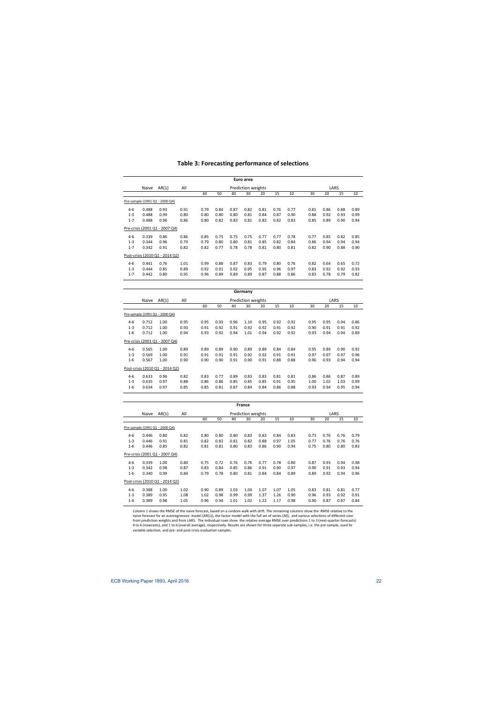|         |       |                                 |      |      |      |      | Euro area          |      |      |      |      |      |      |      |
|---------|-------|---------------------------------|------|------|------|------|--------------------|------|------|------|------|------|------|------|
|         | Naive | AR(1)                           | All  |      |      |      | Prediction weights |      |      |      |      |      | LARS |      |
|         |       |                                 |      | 60   | 50   | 40   | 30                 | 20   | 15   | 10   | 30   | 20   | 15   | 10   |
|         |       | Pre-sample (1991 Q1 - 2000 Q4)  |      |      |      |      |                    |      |      |      |      |      |      |      |
| $4 - 6$ | 0.488 | 0.93                            | 0.91 | 0.79 | 0.84 | 0.87 | 0.82               | 0.81 | 0.76 | 0.77 | 0.81 | 0.86 | 0.88 | 0.89 |
| $1 - 3$ | 0.488 | 0.99                            | 0.80 | 0.80 | 0.80 | 0.80 | 0.81               | 0.84 | 0.87 | 0.90 | 0.88 | 0.92 | 0.93 | 0.99 |
| $1 - 7$ | 0.488 | 0.96                            | 0.86 | 0.80 | 0.82 | 0.83 | 0.81               | 0.83 | 0.82 | 0.83 | 0.85 | 0.89 | 0.90 | 0.94 |
|         |       | Pre-crisis (2001 Q1 - 2007 Q4)  |      |      |      |      |                    |      |      |      |      |      |      |      |
| $4 - 6$ | 0.339 | 0.86                            | 0.86 | 0.85 | 0.75 | 0.75 | 0.75               | 0.77 | 0.77 | 0.78 | 0.77 | 0.85 | 0.82 | 0.85 |
| $1 - 3$ | 0.344 | 0.96                            | 0.79 | 0.79 | 0.80 | 0.80 | 0.81               | 0.85 | 0.82 | 0.84 | 0.86 | 0.94 | 0.94 | 0.94 |
| $1 - 7$ | 0.342 | 0.91                            | 0.82 | 0.82 | 0.77 | 0.78 | 0.78               | 0.81 | 0.80 | 0.81 | 0.82 | 0.90 | 0.88 | 0.90 |
|         |       | Post-crisis (2010 Q1 - 2014 Q2) |      |      |      |      |                    |      |      |      |      |      |      |      |
| $4 - 6$ | 0.441 | 0.76                            | 1.01 | 0.99 | 0.88 | 0.87 | 0.83               | 0.79 | 0.80 | 0.76 | 0.82 | 0.64 | 0.65 | 0.72 |
| $1 - 3$ | 0.444 | 0.85                            | 0.89 | 0.92 | 0.91 | 0.92 | 0.95               | 0.95 | 0.96 | 0.97 | 0.83 | 0.92 | 0.92 | 0.93 |
| $1 - 7$ | 0.442 | 0.80                            | 0.95 | 0.96 | 0.89 | 0.89 | 0.89               | 0.87 | 0.88 | 0.86 | 0.83 | 0.78 | 0.79 | 0.82 |
|         |       |                                 |      |      |      |      |                    |      |      |      |      |      |      |      |
|         |       |                                 |      |      |      |      | Germany            |      |      |      |      |      |      |      |
|         | Naive | AR(1)                           | All  |      |      |      | Prediction weights |      |      |      |      |      | LARS |      |
|         |       |                                 |      | 60   | 50   | 40   | 30                 | 20   | 15   | 10   | 30   | 20   | 15   | 10   |
|         |       | Pre-sample (1991 Q1 - 2000 Q4)  |      |      |      |      |                    |      |      |      |      |      |      |      |

## **Table 3: Forecasting performance of selections**

| $4-6$   | 0.712                           | 1.00 | 0.95 | 0.95 | 0.93 | 0.96 | 1.10 | 0.95 | 0.92 | 0.92 | 0.95 | 0.95 | 0.94 | 0.86 |
|---------|---------------------------------|------|------|------|------|------|------|------|------|------|------|------|------|------|
| $1 - 3$ | 0.712                           | 1.00 | 0.93 | 0.91 | 0.92 | 0.91 | 0.92 | 0.92 | 0.91 | 0.92 | 0.90 | 0.91 | 0.91 | 0.92 |
| $1 - 6$ | 0.712                           | 1.00 | 0.94 | 0.93 | 0.92 | 0.94 | 1.01 | 0.94 | 0.92 | 0.92 | 0.93 | 0.94 | 0.94 | 0.89 |
|         | Pre-crisis (2001 Q1 - 2007 Q4)  |      |      |      |      |      |      |      |      |      |      |      |      |      |
| $4-6$   | 0.565                           | 1.00 | 0.89 | 0.89 | 0.89 | 0.90 | 0.89 | 0.89 | 0.84 | 0.84 | 0.95 | 0.89 | 0.90 | 0.92 |
| $1 - 3$ | 0.569                           | 1.00 | 0.91 | 0.91 | 0.91 | 0.91 | 0.92 | 0.92 | 0.91 | 0.91 | 0.97 | 0.97 | 0.97 | 0.96 |
| $1 - 6$ | 0.567                           | 1.00 | 0.90 | 0.90 | 0.90 | 0.91 | 0.90 | 0.91 | 0.88 | 0.88 | 0.96 | 0.93 | 0.94 | 0.94 |
|         | Post-crisis (2010 Q1 - 2014 Q2) |      |      |      |      |      |      |      |      |      |      |      |      |      |
| $4-6$   | 0.633                           | 0.96 | 0.82 | 0.83 | 0.77 | 0.89 | 0.83 | 0.83 | 0.81 | 0.81 | 0.86 | 0.86 | 0.87 | 0.89 |
| $1 - 3$ | 0.635                           | 0.97 | 0.88 | 0.86 | 0.86 | 0.85 | 0.85 | 0.85 | 0.91 | 0.95 | 1.00 | 1.02 | 1.03 | 0.99 |
| $1 - 6$ | 0.634                           | 0.97 | 0.85 | 0.85 | 0.81 | 0.87 | 0.84 | 0.84 | 0.86 | 0.88 | 0.93 | 0.94 | 0.95 | 0.94 |
|         |                                 |      |      |      |      |      |      |      |      |      |      |      |      |      |

|         | <b>France</b> |                                 |      |      |      |      |                           |      |      |      |      |      |      |      |
|---------|---------------|---------------------------------|------|------|------|------|---------------------------|------|------|------|------|------|------|------|
|         | Naive         | AR(1)                           | All  |      |      |      | <b>Prediction weights</b> |      |      |      |      |      | LARS |      |
|         |               |                                 |      | 60   | 50   | 40   | 30                        | 20   | 15   | 10   | 30   | 20   | 15   | 10   |
|         |               | Pre-sample (1991 Q1 - 2000 Q4)  |      |      |      |      |                           |      |      |      |      |      |      |      |
| $4-6$   | 0.446         | 0.80                            | 0.82 | 0.80 | 0.80 | 0.80 | 0.83                      | 0.83 | 0.84 | 0.83 | 0.73 | 0.76 | 0.76 | 0.79 |
| $1 - 3$ | 0.446         | 0.91                            | 0.81 | 0.82 | 0.82 | 0.81 | 0.82                      | 0.88 | 0.97 | 1.05 | 0.77 | 0.76 | 0.76 | 0.76 |
| $1 - 6$ | 0.446         | 0.85                            | 0.82 | 0.81 | 0.81 | 0.80 | 0.83                      | 0.86 | 0.90 | 0.94 | 0.75 | 0.80 | 0.80 | 0.83 |
|         |               | Pre-crisis (2001 Q1 - 2007 Q4)  |      |      |      |      |                           |      |      |      |      |      |      |      |
| $4-6$   | 0.339         | 1.00                            | 0.80 | 0.75 | 0.72 | 0.76 | 0.76                      | 0.77 | 0.78 | 0.80 | 0.87 | 0.93 | 0.94 | 0.98 |
| $1 - 3$ | 0.342         | 0.98                            | 0.87 | 0.83 | 0.84 | 0.85 | 0.86                      | 0.91 | 0.90 | 0.97 | 0.90 | 0.91 | 0.93 | 0.94 |
| $1 - 6$ | 0.340         | 0.99                            | 0.84 | 0.79 | 0.78 | 0.80 | 0.81                      | 0.84 | 0.84 | 0.89 | 0.89 | 0.92 | 0.94 | 0.96 |
|         |               | Post-crisis (2010 Q1 - 2014 Q2) |      |      |      |      |                           |      |      |      |      |      |      |      |
| $4-6$   | 0.388         | 1.00                            | 1.02 | 0.90 | 0.89 | 1.03 | 1.04                      | 1.07 | 1.07 | 1.05 | 0.83 | 0.81 | 0.81 | 0.77 |
| $1 - 3$ | 0.389         | 0.95                            | 1.08 | 1.02 | 0.98 | 0.99 | 0.99                      | 1.37 | 1.26 | 0.90 | 0.96 | 0.93 | 0.92 | 0.91 |
| $1 - 6$ | 0.389         | 0.98                            | 1.05 | 0.96 | 0.94 | 1.01 | 1.02                      | 1.22 | 1.17 | 0.98 | 0.90 | 0.87 | 0.87 | 0.84 |

 Column 1 shows the RMSE of the naive forecast, based on a random walk with drift. The remaining columns show the RMSE relative to the naive forecast for an autoregressive model (AR(1)), the factor model with the full set of series (All), and various selections of different sizes from prediction weights and from LARS. The individual rows show the relative average RMSE over predictions 1 to 3 (next-quarter forecasts) 4 to 6 (nowcasts), and 1 to 6 (overall average), respectively. Results are shown for three separate sub‐samples, i.e. the pre‐sample, used for variable selection, and pre‐ and post‐crisis evaluation samples.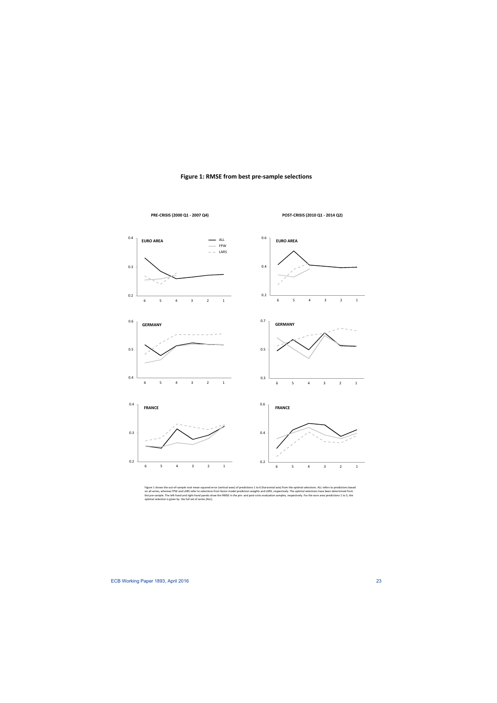

## **Figure 1: RMSE from best pre‐sample selections**

**PRE‐CRISIS (2000 Q1 ‐ 2007 Q4) POST‐CRISIS (2010 Q1 ‐ 2014 Q2)**

Figure 1 shows the out-of-sample root mean squared error (vertical axes) of predictions 1 to 6 (horizontal axis) from the optimal selections. ALL refers to predictions based<br>on all series, whereas FPW and LARS refer to sel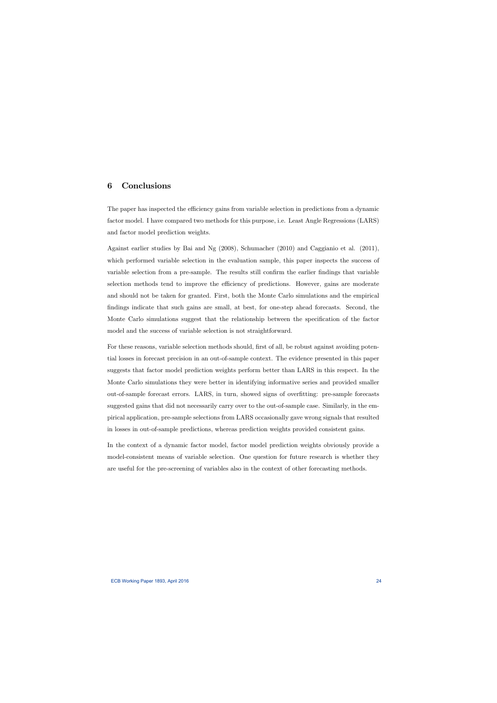# 6 Conclusions

The paper has inspected the efficiency gains from variable selection in predictions from a dynamic factor model. I have compared two methods for this purpose, i.e. Least Angle Regressions (LARS) and factor model prediction weights.

Against earlier studies by Bai and Ng (2008), Schumacher (2010) and Caggianio et al. (2011), which performed variable selection in the evaluation sample, this paper inspects the success of variable selection from a pre-sample. The results still confirm the earlier findings that variable selection methods tend to improve the efficiency of predictions. However, gains are moderate and should not be taken for granted. First, both the Monte Carlo simulations and the empirical findings indicate that such gains are small, at best, for one-step ahead forecasts. Second, the Monte Carlo simulations suggest that the relationship between the specification of the factor model and the success of variable selection is not straightforward.

For these reasons, variable selection methods should, first of all, be robust against avoiding potential losses in forecast precision in an out-of-sample context. The evidence presented in this paper suggests that factor model prediction weights perform better than LARS in this respect. In the Monte Carlo simulations they were better in identifying informative series and provided smaller out-of-sample forecast errors. LARS, in turn, showed signs of overÖtting: pre-sample forecasts suggested gains that did not necessarily carry over to the out-of-sample case. Similarly, in the empirical application, pre-sample selections from LARS occasionally gave wrong signals that resulted in losses in out-of-sample predictions, whereas prediction weights provided consistent gains.

In the context of a dynamic factor model, factor model prediction weights obviously provide a model-consistent means of variable selection. One question for future research is whether they are useful for the pre-screening of variables also in the context of other forecasting methods.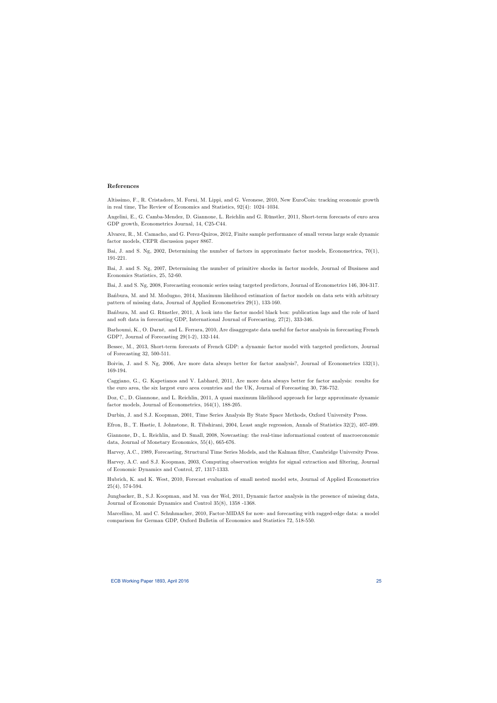### References

Altissimo, F., R. Cristadoro, M. Forni, M. Lippi, and G. Veronese, 2010, New EuroCoin: tracking economic growth in real time, The Review of Economics and Statistics,  $92(4)$ :  $1024-1034$ .

Angelini, E., G. Camba-Mendez, D. Giannone, L. Reichlin and G. Rünstler, 2011, Short-term forecasts of euro area GDP growth, Econometrics Journal, 14, C25-C44.

Alvarez, R., M. Camacho, and G. Perez-Quiros, 2012, Finite sample performance of small versus large scale dynamic factor models, CEPR discussion paper 8867.

Bai, J. and S. Ng, 2002, Determining the number of factors in approximate factor models, Econometrica, 70(1), 191-221.

Bai, J. and S. Ng, 2007, Determining the number of primitive shocks in factor models, Journal of Business and Economics Statistics, 25, 52-60.

Bai, J. and S. Ng, 2008, Forecasting economic series using targeted predictors, Journal of Econometrics 146, 304-317.

Banbura, M. and M. Modugno, 2014, Maximum likelihood estimation of factor models on data sets with arbitrary pattern of missing data, Journal of Applied Econometrics 29(1), 133-160.

Banbura, M. and G. Rünstler, 2011, A look into the factor model black box: publication lags and the role of hard and soft data in forecasting GDP, International Journal of Forecasting, 27(2), 333-346.

Barhoumi, K., O. Darné, and L. Ferrara, 2010, Are disaggregate data useful for factor analysis in forecasting French GDP?, Journal of Forecasting 29(1-2), 132-144.

Bessec, M., 2013, Short-term forecasts of French GDP: a dynamic factor model with targeted predictors, Journal of Forecasting 32, 500-511.

Boivin, J. and S. Ng, 2006, Are more data always better for factor analysis?, Journal of Econometrics 132(1), 169-194.

Caggiano, G., G. Kapetianos and V. Labhard, 2011, Are more data always better for factor analysis: results for the euro area, the six largest euro area countries and the UK, Journal of Forecasting 30, 736-752.

Doz, C., D. Giannone, and L. Reichlin, 2011, A quasi maximum likelihood approach for large approximate dynamic factor models, Journal of Econometrics, 164(1), 188-205.

Durbin, J. and S.J. Koopman, 2001, Time Series Analysis By State Space Methods, Oxford University Press.

Efron, B., T. Hastie, I. Johnstone, R. Tibshirani, 2004, Least angle regression, Annals of Statistics 32(2), 407-499.

Giannone, D., L. Reichlin, and D. Small, 2008, Nowcasting: the real-time informational content of macroeconomic data, Journal of Monetary Economics, 55(4), 665-676.

Harvey, A.C., 1989, Forecasting, Structural Time Series Models, and the Kalman filter, Cambridge University Press.

Harvey, A.C. and S.J. Koopman, 2003, Computing observation weights for signal extraction and filtering, Journal of Economic Dynamics and Control, 27, 1317-1333.

Hubrich, K. and K. West, 2010, Forecast evaluation of small nested model sets, Journal of Applied Econometrics 25(4), 574-594.

Jungbacker, B., S.J. Koopman, and M. van der Wel, 2011, Dynamic factor analysis in the presence of missing data, Journal of Economic Dynamics and Control 35(8), 1358 -1368.

Marcellino, M. and C. Schuhmacher, 2010, Factor-MIDAS for now- and forecasting with ragged-edge data: a model comparison for German GDP, Oxford Bulletin of Economics and Statistics 72, 518-550.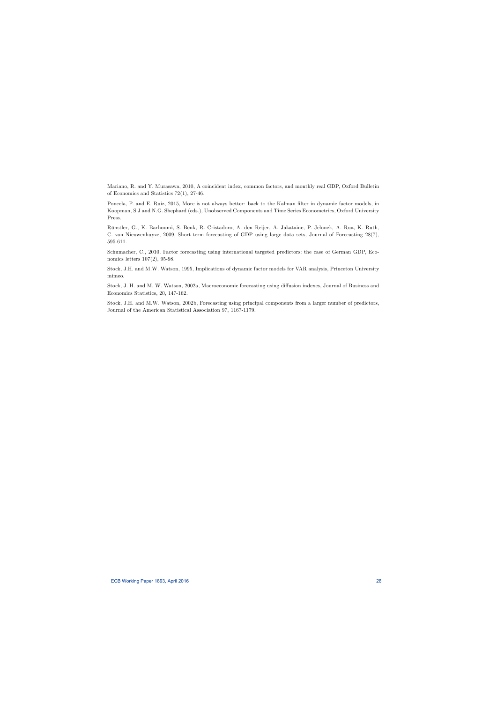Mariano, R. and Y. Murasawa, 2010, A coincident index, common factors, and monthly real GDP, Oxford Bulletin of Economics and Statistics 72(1), 27-46.

Poncela, P. and E. Ruiz, 2015, More is not always better: back to the Kalman filter in dynamic factor models, in Koopman, S.J and N.G. Shephard (eds.), Unobserved Components and Time Series Econometrics, Oxford University Press.

Rünstler, G., K. Barhoumi, S. Benk, R. Cristadoro, A. den Reijer, A. Jakataine, P. Jelonek, A. Rua, K. Ruth, C. van Nieuwenhuyze, 2009, Short-term forecasting of GDP using large data sets, Journal of Forecasting 28(7), 595-611.

Schumacher, C., 2010, Factor forecasting using international targeted predictors: the case of German GDP, Economics letters 107(2), 95-98.

Stock, J.H. and M.W. Watson, 1995, Implications of dynamic factor models for VAR analysis, Princeton University mimeo.

Stock, J. H. and M. W. Watson, 2002a, Macroeconomic forecasting using diffusion indexes, Journal of Business and Economics Statistics, 20, 147-162.

Stock, J.H. and M.W. Watson, 2002b, Forecasting using principal components from a larger number of predictors, Journal of the American Statistical Association 97, 1167-1179.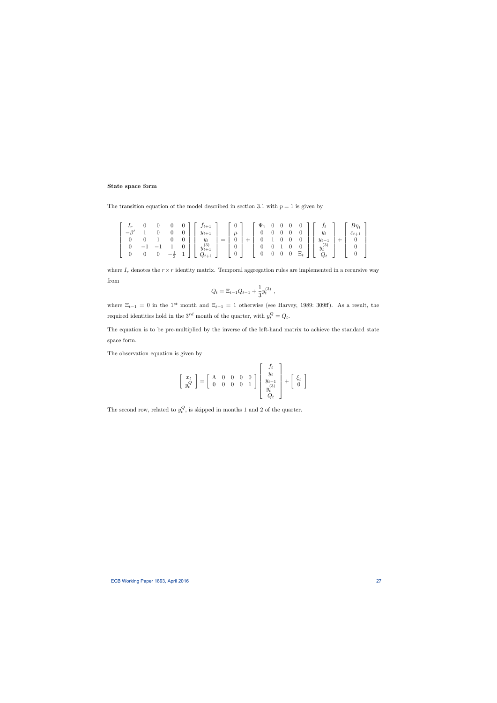## State space form

The transition equation of the model described in section 3.1 with  $p = 1$  is given by

$$
\begin{bmatrix} I_r & 0 & 0 & 0 & 0 \ -\beta' & 1 & 0 & 0 & 0 \ 0 & 0 & 1 & 0 & 0 \ 0 & -1 & -1 & 1 & 0 \ 0 & 0 & 0 & -\frac{1}{3} & 1 \ \end{bmatrix} \begin{bmatrix} f_{t+1} \\ y_{t+1} \\ y_t \\ y_t^{(3)} \\ Q_{t+1} \end{bmatrix} = \begin{bmatrix} 0 \\ \mu \\ 0 \\ 0 \\ 0 \end{bmatrix} + \begin{bmatrix} \Psi_1 & 0 & 0 & 0 & 0 \ 0 & 0 & 0 & 0 \ 0 & 0 & 0 & 0 \ 0 & 1 & 0 & 0 & 0 \ 0 & 0 & 1 & 0 & 0 \ 0 & 0 & 0 & \Xi_t \end{bmatrix} \begin{bmatrix} f_t \\ y_t \\ y_{t-1} \\ y_t^{(3)} \\ q_t^{(3)} \end{bmatrix} + \begin{bmatrix} B\eta_t \\ \varepsilon_{t+1} \\ 0 \\ 0 \\ 0 \end{bmatrix}
$$

where  $I_r$  denotes the  $r \times r$  identity matrix. Temporal aggregation rules are implemented in a recursive way from

$$
Q_t = \Xi_{t-1} Q_{t-1} + \frac{1}{3} y_t^{(3)},
$$

where  $\Xi_{t-1} = 0$  in the 1<sup>st</sup> month and  $\Xi_{t-1} = 1$  otherwise (see Harvey, 1989: 309ff). As a result, the required identities hold in the  $3^{rd}$  month of the quarter, with  $y_t^Q = Q_t$ .

The equation is to be pre-multiplied by the inverse of the left-hand matrix to achieve the standard state space form.

The observation equation is given by

$$
\left[\begin{array}{c} x_t \\ y_t^Q \end{array}\right] = \left[\begin{array}{cccc} \Lambda & 0 & 0 & 0 & 0 \\ 0 & 0 & 0 & 0 & 1 \end{array}\right] \left[\begin{array}{c} f_t \\ y_t \\ y_{t-1} \\ y_t^{(3)} \\ Q_t \end{array}\right] + \left[\begin{array}{c} \xi_t \\ 0 \end{array}\right]
$$

The second row, related to  $y_t^Q$ , is skipped in months 1 and 2 of the quarter.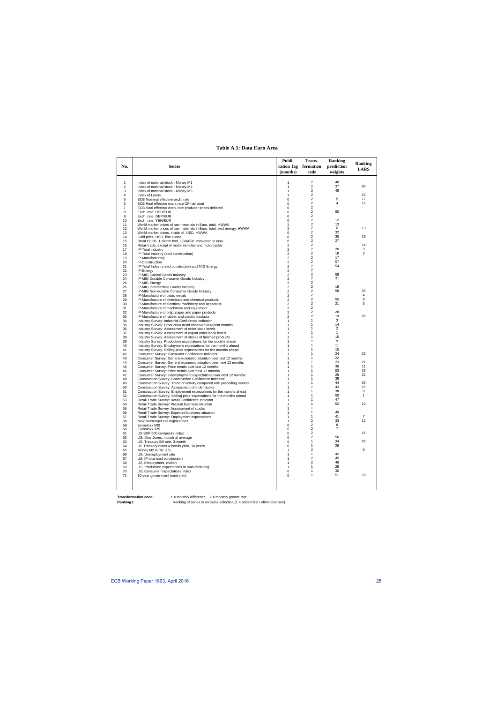#### **Table A.1: Data Euro Area**

|                |                                                                                                                                           | Publi-            | Trans-                                    | <b>Ranking</b> |                |
|----------------|-------------------------------------------------------------------------------------------------------------------------------------------|-------------------|-------------------------------------------|----------------|----------------|
| No.            | <b>Series</b>                                                                                                                             |                   | cation lag formation                      | prediction     | <b>Ranking</b> |
|                |                                                                                                                                           | (months)          | code                                      | weights        | <b>LARS</b>    |
|                |                                                                                                                                           |                   |                                           |                |                |
|                |                                                                                                                                           |                   | 2                                         | 40             |                |
| 1<br>2         | Index of notional stock - Money M1<br>Index of notional stock - Money M2                                                                  | 1<br>1            | $\overline{2}$                            | 37             | 30             |
| 3              | Index of notional stock - Money M3                                                                                                        | 1                 | $\overline{2}$                            | 48             |                |
| $\overline{4}$ | Index of Loans                                                                                                                            | 1                 | $\overline{2}$                            |                | 24             |
| 5              | ECB Nominal effective exch. rate                                                                                                          | 0                 | $\overline{2}$                            | 5              | 17             |
| 6              | ECB Real effective exch. rate CPI deflated                                                                                                | 0                 | 2                                         | 4              | 15             |
| 7              | ECB Real effective exch. rate producer prices deflated                                                                                    | 0                 | $\overline{c}$<br>$\overline{2}$          | 60             |                |
| 8<br>9         | Exch. rate: USD/EUR<br>Exch. rate: GBP/EUR                                                                                                | 0<br>0            | $\overline{c}$                            |                |                |
| 10             | Exch. rate: YEN/EUR                                                                                                                       | 0                 | $\overline{2}$                            | 12             |                |
| 11             | World market prices of raw materials in Euro, total, HWWA                                                                                 | 2                 | $\overline{c}$                            | 13             |                |
| 12             | World market prices of raw materials in Euro, total, excl energy, HWWA                                                                    | 2                 | $\overline{c}$                            | 6              | 13             |
| 13             | World market prices, crude oil, USD, HWWA                                                                                                 | 0                 | $\overline{c}$                            | 32             |                |
| 14             | Gold price, USD, fine ounce                                                                                                               | 0                 | $\overline{2}$                            | 35             | 19             |
| 15             | Brent Crude, 1 month fwd, USD/BBL converted in euro                                                                                       | 0                 | $\overline{c}$<br>$\overline{c}$          | 27             | 14             |
| 16<br>17       | Retail trade, except of motor vehicles and motorcycles                                                                                    | 2<br>2            | 2                                         | 20             | 3              |
| 18             | IP-Total industry<br>IP-Total Industry (excl construction)                                                                                | 2                 | $\overline{2}$                            | 18             | $\overline{2}$ |
| 19             | IP-Manufacturing                                                                                                                          | 2                 | $\overline{2}$                            | 17             |                |
| 20             | IP-Construction                                                                                                                           | 2                 | $\overline{c}$                            | 57             |                |
| 21             | IP-Total Industry excl construction and MIG Energy                                                                                        | 2                 | $\overline{2}$                            | 54             |                |
| 22             | IP-Energy                                                                                                                                 | 2                 | $\overline{c}$                            |                |                |
| 23             | IP-MIG Capital Goods Industry                                                                                                             | 2                 | $\overline{c}$                            | 59             |                |
| 24             | IP-MIG Durable Consumer Goods Industry                                                                                                    | 2                 | $\overline{2}$<br>$\overline{c}$          | 31             |                |
| 25<br>26       | IP-MIG Energy<br>IP-MIG Intermediate Goods Industry                                                                                       | 2<br>2            | $\overline{c}$                            | 16             |                |
| 27             | IP-MIG Non-durable Consumer Goods Industry                                                                                                | 2                 | $\overline{c}$                            | 58             | 26             |
| 28             | IP-Manufacture of basic metals                                                                                                            | 2                 | $\overline{2}$                            |                | 4              |
| 29             | IP-Manufacture of chemicals and chemical products                                                                                         | 2                 | $\overline{c}$                            | 55             | 8              |
| 30             | IP-Manufacture of electrical machinery and apparatus                                                                                      | 2                 | $\overline{2}$                            | 21             | 5              |
| 31             | IP-Manufacture of machinery and equipment                                                                                                 | $\overline{c}$    | $\overline{\mathbf{c}}$                   |                |                |
| 32             | IP-Manufacture of pulp, paper and paper products                                                                                          | 2                 | $\overline{c}$                            | 28             |                |
| 33<br>34       | IP-Manufacture of rubber and plastic products                                                                                             | 2<br>$\mathbf{1}$ | $\overline{c}$<br>$\mathbf{1}$            | 19<br>3        | 20             |
| 35             | Industry Survey: Industrial Confidence Indicator<br>Industry Survey: Production trend observed in recent months                           | 1                 | 1                                         | 14             |                |
| 36             | Industry Survey: Assessment of order-book levels                                                                                          | 1                 | 1                                         | $\overline{2}$ |                |
| 37             | Industry Survey: Assessment of export order-book levels                                                                                   | $\mathbf{1}$      | 1                                         | $\mathbf{1}$   |                |
| 38             | Industry Survey: Assessment of stocks of finished products                                                                                | 1                 | 1                                         | 10             |                |
| 39             | Industry Survey: Production expectations for the months ahead                                                                             | 1                 | 1                                         | 9              |                |
| 40             | Industry Survey: Employment expectations for the months ahead                                                                             | 1                 | 1                                         | 11             |                |
| 41             | Industry Survey: Selling price expectations for the months ahead                                                                          | 1                 | 1<br>1                                    | 15<br>24       | 23             |
| 42<br>43       | Consumer Survey: Consumer Confidence Indicator<br>Consumer Survey: General economic situation over last 12 months                         | 1<br>1            | 1                                         | 22             |                |
| 44             | Consumer Survey: General economic situation over next 12 months                                                                           | 1                 | 1                                         | 23             | 21             |
| 45             | Consumer Survey: Price trends over last 12 months                                                                                         | 1                 | 1                                         | 36             | 11             |
| 46             | Consumer Survey: Price trends over next 12 months                                                                                         | 1                 | 1                                         | 53             | 28             |
| 47             | Consumer Survey: Unemployment expectations over next 12 months                                                                            | 1                 | 1                                         | 25             | 22             |
| 48             | Construction Survey: Construction Confidence Indicator                                                                                    | $\mathbf{1}$      | 1                                         | 39             |                |
| 49             | Construction Survey: Trend of activity compared with preceding months                                                                     | 1                 | 1                                         | 44             | 29             |
| 50             | Construction Survey: Assessment of order books                                                                                            | 1                 | 1<br>1                                    | 43<br>38       | 27<br>9        |
| 51<br>52       | Construction Survey: Employment expectations for the months ahead<br>Construction Survey: Selling price expectations for the months ahead | 1<br>1            | 1                                         | 50             | $\mathbf{1}$   |
| 53             | Retail Trade Survey: Retail Confidence Indicator                                                                                          |                   | 1                                         | 47             |                |
| 54             | Retail Trade Survey: Present business situation                                                                                           |                   | 1                                         | 52             | 10             |
| 55             | Retail Trade Survey: Assessment of stocks                                                                                                 | 1                 | $\mathbf{1}$                              |                |                |
| 56             | Retail Trade Survey: Expected business situation                                                                                          | 1                 | 1                                         | 49             |                |
| 57             | Retail Trade Survey: Employment expectations                                                                                              | 1                 | 1                                         | 41             | $\overline{7}$ |
| 58             | New passenger car registrations                                                                                                           |                   | $\overline{2}$<br>$\overline{\mathbf{c}}$ | 33<br>8        | 12             |
| 59<br>60       | Eurostoxx 500<br>Eurostoxx 325                                                                                                            | 0<br>0            | $\overline{c}$                            | 7              |                |
| 61             | US S&P 500 composite index                                                                                                                | 0                 | 2                                         |                | 16             |
| 62             | US, Dow Jones, industrial average                                                                                                         | 0                 | 2                                         | 56             |                |
| 63             | US, Treasury Bill rate, 3-month                                                                                                           | 0                 | $\mathbf{1}$                              | 34             | 25             |
| 64             | US Treasury notes & bonds yield, 10 years                                                                                                 | 0                 | 1                                         | 26             |                |
| 65             | Money M2 in the U.S.                                                                                                                      | 1                 | $\overline{c}$                            |                | 6              |
| 66             | US, Unemployment rate                                                                                                                     | 1                 | $\mathbf{1}$<br>2                         | 42             |                |
| 67             | US, IP total excl construction<br>US, Employment, civilian                                                                                | 1<br>1            | 2                                         | 45<br>46       |                |
| 68<br>69       | US, Production expectations in manufacturing                                                                                              | 1                 | 1                                         | 29             |                |
| 70             | US, Consumer expectations index                                                                                                           | 0                 | $\mathbf{1}$                              | 30             |                |
| 71             | 10-year government bond yield                                                                                                             | 0                 | 1                                         | 51             | 18             |
|                |                                                                                                                                           |                   |                                           |                |                |
|                |                                                                                                                                           |                   |                                           |                |                |
|                |                                                                                                                                           |                   |                                           |                |                |

**Transformation code:** 1 = monthly difference, 2 = monthly growth rate

**Rankings:** Ranking of series in stepwise selection (1 = added first / eliminated last)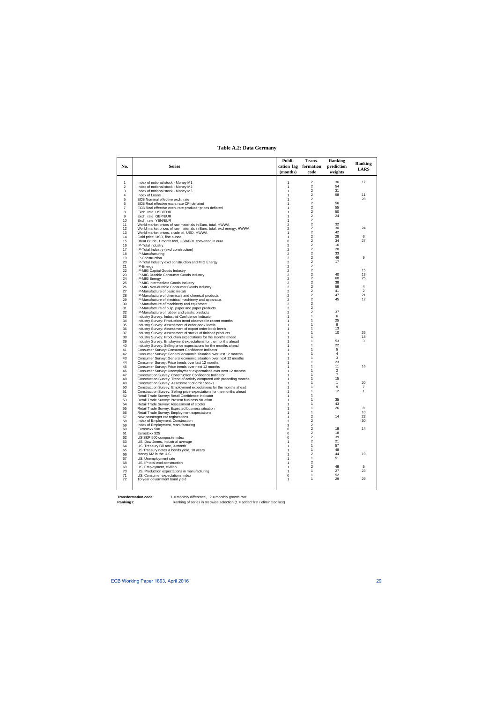## **Table A.2: Data Germany**

| No.            | <b>Series</b>                                                                                                                       | Publi-<br>cation lag             | Trans-<br>formation              | <b>Ranking</b><br>prediction     | <b>Ranking</b> |
|----------------|-------------------------------------------------------------------------------------------------------------------------------------|----------------------------------|----------------------------------|----------------------------------|----------------|
|                |                                                                                                                                     | (months)                         | code                             | weights                          | <b>LARS</b>    |
| $\mathbf{1}$   | Index of notional stock - Money M1                                                                                                  | 1                                | 2                                | 36                               | 17             |
| $\overline{2}$ | Index of notional stock - Money M2                                                                                                  | 1                                | $\overline{2}$                   | 54                               |                |
| 3              | Index of notional stock - Money M3                                                                                                  | 1                                | $\overline{2}$                   | 31                               |                |
| 4              | Index of Loans                                                                                                                      | 1                                | $\overline{2}$                   | 58                               | 11             |
| 5              | ECB Nominal effective exch. rate                                                                                                    | 1                                | $\overline{2}$<br>2              | 56                               | 28             |
| 6<br>7         | ECB Real effective exch. rate CPI deflated<br>ECB Real effective exch. rate producer prices deflated                                | 1<br>1                           | 2                                | 55                               |                |
| 8              | Exch. rate: USD/EUR                                                                                                                 | 1                                | $\overline{2}$                   | 50                               |                |
| 9              | Exch. rate: GBP/EUR                                                                                                                 | 1                                | 2                                | 24                               |                |
| 10             | Exch. rate: YEN/EUR                                                                                                                 | 1                                | $\overline{2}$                   |                                  |                |
| 11<br>12       | World market prices of raw materials in Euro, total, HWWA<br>World market prices of raw materials in Euro, total, excl energy, HWWA | $\overline{2}$<br>$\overline{2}$ | 2<br>2                           | 32<br>30                         | 24             |
| 13             | World market prices, crude oil, USD, HWWA                                                                                           | 1                                | $\overline{2}$                   | 42                               |                |
| 14             | Gold price, USD, fine ounce                                                                                                         | 1                                | 2                                | 28                               | 6              |
| 15             | Brent Crude, 1 month fwd, USD/BBL converted in euro                                                                                 | $\mathbf 0$                      | $\overline{2}$                   | 34                               | 27             |
| 16             | IP-Total industry                                                                                                                   | $\overline{2}$                   | $\overline{2}$<br>$\overline{2}$ | 16                               |                |
| 17<br>18       | IP-Total Industry (excl construction)<br>IP-Manufacturing                                                                           | $\overline{2}$<br>2              | 2                                | 20<br>33                         |                |
| 19             | IP-Construction                                                                                                                     | $\overline{c}$                   | $\overline{2}$                   | 46                               | 9              |
| 20             | IP-Total Industry excl construction and MIG Energy                                                                                  | $\overline{2}$                   | $\overline{2}$                   | 17                               |                |
| 21             | IP-Energy                                                                                                                           | $\overline{2}$                   | $\overline{2}$                   |                                  |                |
| 22             | IP-MIG Capital Goods Industry                                                                                                       | 2                                | 2<br>2                           | 40                               | 15<br>13       |
| 23<br>24       | IP-MIG Durable Consumer Goods Industry<br><b>IP-MIG Energy</b>                                                                      | $\overline{2}$<br>$\overline{c}$ | $\overline{2}$                   | 60                               | 25             |
| 25             | IP-MIG Intermediate Goods Industry                                                                                                  | $\overline{c}$                   | $\overline{2}$                   | 38                               |                |
| 26             | IP-MIG Non-durable Consumer Goods Industry                                                                                          | $\overline{2}$                   | $\overline{2}$                   | 59                               | 4              |
| 27             | IP-Manufacture of basic metals                                                                                                      | $\overline{2}$                   | $\overline{2}$                   | 41                               | $\overline{2}$ |
| 28             | IP-Manufacture of chemicals and chemical products                                                                                   | $\overline{2}$                   | $\overline{2}$                   | 47                               | 21             |
| 29             | IP-Manufacture of electrical machinery and apparatus                                                                                | 2<br>$\overline{2}$              | 2<br>2                           | 45                               | 12             |
| 30<br>31       | IP-Manufacture of machinery and equipment<br>IP-Manufacture of pulp, paper and paper products                                       | $\overline{2}$                   | 2                                |                                  |                |
| 32             | IP-Manufacture of rubber and plastic products                                                                                       | $\overline{2}$                   | $\overline{2}$                   | 37                               |                |
| 33             | Industry Survey: Industrial Confidence Indicator                                                                                    | $\mathbf{1}$                     | $\mathbf{1}$                     | 6                                |                |
| 34             | Industry Survey: Production trend observed in recent months                                                                         | 1                                | 1                                | 25                               |                |
| 35             | Industry Survey: Assessment of order-book levels                                                                                    | 1<br>1                           | 1<br>1                           | 8<br>13                          |                |
| 36<br>37       | Industry Survey: Assessment of export order-book levels<br>Industry Survey: Assessment of stocks of finished products               | 1                                | 1                                | 10                               | 26             |
| 38             | Industry Survey: Production expectations for the months ahead                                                                       | 1                                | 1                                |                                  | 18             |
| 39             | Industry Survey: Employment expectations for the months ahead                                                                       | 1                                | 1                                | 53                               | 3              |
| 40             | Industry Survey: Selling price expectations for the months ahead                                                                    | 1                                | 1<br>1                           | 22<br>5                          |                |
| 41<br>42       | Consumer Survey: Consumer Confidence Indicator<br>Consumer Survey: General economic situation over last 12 months                   | 1<br>1                           | 1                                | $\overline{4}$                   |                |
| 43             | Consumer Survey: General economic situation over next 12 months                                                                     | 1                                | 1                                | 3                                |                |
| 44             | Consumer Survey: Price trends over last 12 months                                                                                   | 1                                | 1                                | 23                               |                |
| 45             | Consumer Survey: Price trends over next 12 months                                                                                   | 1                                | 1                                | 11                               | 16             |
| 46             | Consumer Survey: Unemployment expectations over next 12 months                                                                      | 1                                | 1<br>1                           | $\overline{2}$<br>$\overline{7}$ |                |
| 47<br>48       | Construction Survey: Construction Confidence Indicator<br>Construction Survey: Trend of activity compared with preceding months     | 1<br>1                           | 1                                | 15                               |                |
| 49             | Construction Survey: Assessment of order books                                                                                      | 1                                | 1                                | $\mathbf{1}$                     | 20             |
| 50             | Construction Survey: Employment expectations for the months ahead                                                                   | 1                                | 1                                | 9                                | 7              |
| 51             | Construction Survey: Selling price expectations for the months ahead                                                                | 1                                | 1                                | 12                               | $\mathbf{1}$   |
| 52             | Retail Trade Survey: Retail Confidence Indicator                                                                                    | 1                                | 1<br>1                           | 35                               |                |
| 53<br>54       | Retail Trade Survey: Present business situation<br>Retail Trade Survey: Assessment of stocks                                        | 1<br>1                           | 1                                | 43                               |                |
| 55             | Retail Trade Survey: Expected business situation                                                                                    | 1                                | 1                                | 26                               | 8              |
| 56             | Retail Trade Survey: Employment expectations                                                                                        | 1                                | 1                                |                                  | 10             |
| 57             | New passenger car registrations                                                                                                     | 1                                | $\overline{2}$                   | 14                               | 22             |
| 58<br>59       | Index of Employment, Construction<br>Index of Employment, Manufacturing                                                             | 3<br>3                           | 2<br>2                           |                                  | 30             |
| 60             | Eurostoxx 500                                                                                                                       | 0                                | $\overline{2}$                   | 19                               | 14             |
| 61             | Eurostoxx 325                                                                                                                       | 0                                | $\overline{2}$                   | 18                               |                |
| 62             | US S&P 500 composite index                                                                                                          | 0                                | $\overline{2}$                   | 39                               |                |
| 63             | US, Dow Jones, industrial average                                                                                                   | 1                                | $\overline{2}$                   | 21                               |                |
| 64<br>65       | US, Treasury Bill rate, 3-month                                                                                                     | 1                                | 1<br>$\mathbf{1}$                | 57<br>48                         |                |
| 66             | US Treasury notes & bonds yield, 10 years<br>Money M2 in the U.S.                                                                   | 1<br>1                           | 2                                | 44                               | 19             |
| 67             | US, Unemployment rate                                                                                                               | 1                                | 1                                | 51                               |                |
| 68             | US, IP total excl construction                                                                                                      | 1                                | 2                                |                                  |                |
| 69             | US, Employment, civilian                                                                                                            | 1                                | 2                                | 49                               | 5              |
| 70<br>71       | US, Production expectations in manufacturing<br>US, Consumer expectations index                                                     | 1<br>0                           | 1<br>1                           | 27<br>52                         | 23             |
| 72             | 10-year government bond yield                                                                                                       | 1                                | 1                                | 29                               | 29             |
|                |                                                                                                                                     |                                  |                                  |                                  |                |
|                |                                                                                                                                     |                                  |                                  |                                  |                |

**Transformation code:** 1 = monthly difference, 2 = monthly growth rate

**Rankings:** Ranking of series in stepwise selection (1 = added first / eliminated last)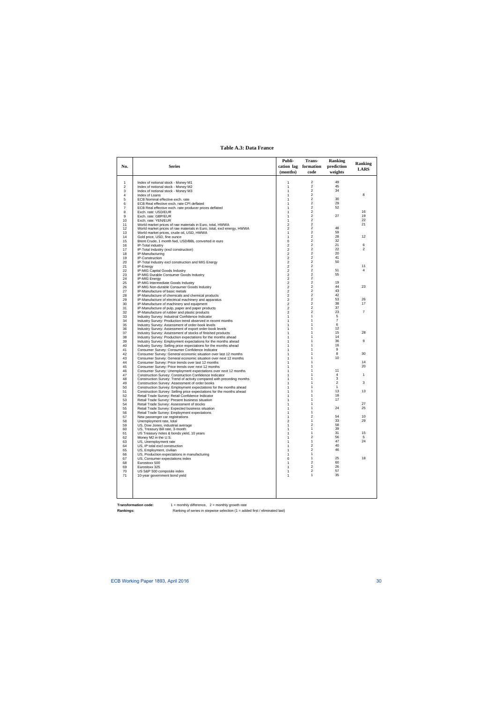## **Table A.3: Data France**

| No.            | <b>Series</b>                                                                                                                   | Publi-<br>cation lag<br>(months)   | Trans-<br>formation<br>code             | <b>Ranking</b><br>prediction<br>weights | <b>Ranking</b><br><b>LARS</b> |
|----------------|---------------------------------------------------------------------------------------------------------------------------------|------------------------------------|-----------------------------------------|-----------------------------------------|-------------------------------|
|                |                                                                                                                                 |                                    |                                         |                                         |                               |
| $\mathbf{1}$   | Index of notional stock - Money M1                                                                                              | 1                                  | $\overline{\mathbf{c}}$                 | 49                                      |                               |
| $\overline{2}$ | Index of notional stock - Money M2                                                                                              | $\mathbf{1}$                       | $\overline{2}$<br>$\overline{2}$        | 45<br>34                                |                               |
| 3<br>4         | Index of notional stock - Money M3<br>Index of Loans                                                                            | $\mathbf{1}$<br>$\mathbf{1}$       | $\overline{2}$                          |                                         | 8                             |
| 5              | ECB Nominal effective exch. rate                                                                                                | 1                                  | $\overline{2}$                          | 30                                      |                               |
| 6              | ECB Real effective exch. rate CPI deflated                                                                                      | 1                                  | $\overline{2}$                          | 29                                      |                               |
| $\overline{7}$ | ECB Real effective exch. rate producer prices deflated                                                                          | $\mathbf{1}$                       | $\overline{2}$<br>$\overline{c}$        | 52                                      | 16                            |
| 8<br>9         | Exch. rate: USD/EUR<br>Exch. rate: GBP/EUR                                                                                      | 1<br>$\mathbf{1}$                  | $\overline{c}$                          | 27                                      | 19                            |
| 10             | Exch. rate: YEN/EUR                                                                                                             | $\mathbf{1}$                       | $\overline{2}$                          |                                         | 22                            |
| 11             | World market prices of raw materials in Euro, total, HWWA                                                                       | $\overline{2}$                     | $\overline{2}$                          |                                         | 21                            |
| 12             | World market prices of raw materials in Euro, total, excl energy, HWWA                                                          | $\overline{c}$                     | $\overline{2}$                          | 48                                      |                               |
| 13<br>14       | World market prices, crude oil, USD, HWWA<br>Gold price, USD, fine ounce                                                        | $\mathbf{1}$<br>$\mathbf{1}$       | 2<br>$\overline{2}$                     | 59<br>28                                | 12                            |
| 15             | Brent Crude, 1 month fwd, USD/BBL converted in euro                                                                             | 0                                  | $\overline{\mathbf{c}}$                 | 32                                      |                               |
| 16             | IP-Total industry                                                                                                               | $\overline{2}$                     | $\overline{2}$                          | 21                                      | 6                             |
| 17             | IP-Total Industry (excl construction)                                                                                           | $\overline{2}$                     | $\overline{2}$                          | 22                                      | 2                             |
| 18             | IP-Manufacturing                                                                                                                | $\overline{2}$                     | $\overline{2}$<br>$\overline{2}$        | 20<br>41                                |                               |
| 19<br>20       | IP-Construction<br>IP-Total Industry excl construction and MIG Energy                                                           | $\boldsymbol{2}$<br>$\overline{2}$ | 2                                       | 50                                      |                               |
| 21             | IP-Energy                                                                                                                       | $\overline{2}$                     | $\overline{2}$                          |                                         | 11                            |
| 22             | IP-MIG Capital Goods Industry                                                                                                   | $\overline{2}$                     | $\overline{2}$                          | 51                                      | 4                             |
| 23             | IP-MIG Durable Consumer Goods Industry                                                                                          | $\overline{2}$                     | $\overline{2}$                          | 55                                      |                               |
| 24             | <b>IP-MIG Enerav</b>                                                                                                            | $\overline{2}$<br>$\overline{2}$   | $\overline{2}$<br>$\overline{2}$        | 19                                      |                               |
| 25<br>26       | IP-MIG Intermediate Goods Industry<br>IP-MIG Non-durable Consumer Goods Industry                                                | $\overline{2}$                     | $\overline{\mathbf{c}}$                 | 44                                      | 23                            |
| 27             | IP-Manufacture of basic metals                                                                                                  | $\overline{2}$                     | $\overline{2}$                          | 43                                      |                               |
| 28             | IP-Manufacture of chemicals and chemical products                                                                               | $\overline{2}$                     | $\overline{2}$                          | 42                                      |                               |
| 29             | IP-Manufacture of electrical machinery and apparatus                                                                            | $\overline{2}$                     | $\overline{2}$                          | 53                                      | 26                            |
| 30<br>31       | IP-Manufacture of machinery and equipment                                                                                       | $\boldsymbol{2}$<br>$\overline{2}$ | $\overline{2}$<br>$\overline{2}$        | 38<br>37                                | 17                            |
| 32             | IP-Manufacture of pulp, paper and paper products<br>IP-Manufacture of rubber and plastic products                               | $\overline{2}$                     | $\overline{2}$                          | 23                                      | $\overline{7}$                |
| 33             | Industry Survey: Industrial Confidence Indicator                                                                                | $\mathbf{1}$                       | $\mathbf{1}$                            | 5                                       |                               |
| 34             | Industry Survey: Production trend observed in recent months                                                                     | $\mathbf{1}$                       | 1                                       | $\overline{7}$                          |                               |
| 35             | Industry Survey: Assessment of order-book levels                                                                                | 1                                  | 1<br>1                                  | 6<br>12                                 |                               |
| 36<br>37       | Industry Survey: Assessment of export order-book levels<br>Industry Survey: Assessment of stocks of finished products           | $\mathbf{1}$<br>$\mathbf{1}$       | 1                                       | 15                                      | 28                            |
| 38             | Industry Survey: Production expectations for the months ahead                                                                   | 1                                  | 1                                       | 14                                      |                               |
| 39             | Industry Survey: Employment expectations for the months ahead                                                                   | 1                                  | 1                                       | 36                                      | 9                             |
| 40             | Industry Survey: Selling price expectations for the months ahead                                                                | $\mathbf{1}$                       | 1                                       | 16                                      |                               |
| 41<br>42       | Consumer Survey: Consumer Confidence Indicator<br>Consumer Survey: General economic situation over last 12 months               | $\mathbf{1}$<br>$\mathbf{1}$       | 1<br>1                                  | 9<br>8                                  | 30                            |
| 43             | Consumer Survey: General economic situation over next 12 months                                                                 | $\mathbf{1}$                       | 1                                       | 10                                      |                               |
| 44             | Consumer Survey: Price trends over last 12 months                                                                               | 1                                  | 1                                       |                                         | 14                            |
| 45             | Consumer Survey: Price trends over next 12 months                                                                               | 1                                  | 1                                       |                                         | 20                            |
| 46             | Consumer Survey: Unemployment expectations over next 12 months                                                                  | 1                                  | 1<br>1                                  | 11<br>$\overline{4}$                    | 1                             |
| 47<br>48       | Construction Survey: Construction Confidence Indicator<br>Construction Survey: Trend of activity compared with preceding months | $\mathbf{1}$<br>$\mathbf{1}$       | 1                                       | 3                                       |                               |
| 49             | Construction Survey: Assessment of order books                                                                                  | 1                                  | 1                                       | $\overline{2}$                          | 3                             |
| 50             | Construction Survey: Employment expectations for the months ahead                                                               | 1                                  | 1                                       | $\mathbf{1}$                            |                               |
| 51             | Construction Survey: Selling price expectations for the months ahead                                                            | 1                                  | 1<br>1                                  | 13<br>18                                | 13                            |
| 52<br>53       | Retail Trade Survey: Retail Confidence Indicator<br>Retail Trade Survey: Present business situation                             | $\mathbf{1}$<br>1                  | 1                                       | 17                                      |                               |
| 54             | Retail Trade Survey: Assessment of stocks                                                                                       | $\mathbf{1}$                       | 1                                       |                                         | 27                            |
| 55             | Retail Trade Survey: Expected business situation                                                                                | 1                                  | 1                                       | 24                                      | 25                            |
| 56             | Retail Trade Survey: Employment expectations                                                                                    | 1                                  | 1<br>$\overline{c}$                     |                                         | 10                            |
| 57<br>58       | New passenger car registrations<br>Unemployment rate, total                                                                     | 1<br>$\overline{2}$                | 1                                       | 54<br>33                                | 29                            |
| 59             | US, Dow Jones, industrial average                                                                                               | 1                                  | $\overline{\mathbf{c}}$                 | 58                                      |                               |
| 60             | US, Treasury Bill rate, 3-month                                                                                                 | $\mathbf{1}$                       | $\mathbf{1}$                            | 39                                      |                               |
| 61             | US Treasury notes & bonds yield, 10 years                                                                                       | 1                                  | 1                                       | 31                                      | 15                            |
| 62             | Money M2 in the U.S.                                                                                                            | 1                                  | $\overline{\mathbf{c}}$<br>$\mathbf{1}$ | 56<br>47                                | 5<br>24                       |
| 63<br>64       | US, Unemployment rate<br>US, IP total excl construction                                                                         | 1<br>1                             | $\overline{\mathbf{c}}$                 | 40                                      |                               |
| 65             | US, Employment, civilian                                                                                                        | 1                                  | $\overline{2}$                          | 46                                      |                               |
| 66             | US, Production expectations in manufacturing                                                                                    | $\mathbf{1}$                       | $\mathbf{1}$                            |                                         |                               |
| 67             | US, Consumer expectations index                                                                                                 | 0                                  | 1<br>$\overline{c}$                     | 25                                      | 18                            |
| 68<br>69       | Eurostoxx 500<br>Eurostoxx 325                                                                                                  | 1<br>$\mathbf{1}$                  | $\overline{\mathbf{c}}$                 | 60<br>26                                |                               |
| 70             | US S&P 500 composite index                                                                                                      | 1                                  | $\overline{\mathbf{c}}$                 | 57                                      |                               |
| 71             | 10-year government bond yield                                                                                                   | $\mathbf{1}$                       | 1                                       | 35                                      |                               |
|                |                                                                                                                                 |                                    |                                         |                                         |                               |
|                |                                                                                                                                 |                                    |                                         |                                         |                               |
|                |                                                                                                                                 |                                    |                                         |                                         |                               |
|                |                                                                                                                                 |                                    |                                         |                                         |                               |

**Transformation code:** 1 = monthly difference, 2 = monthly growth rate

**Rankings:** Ranking of series in stepwise selection (1 = added first / eliminated last)